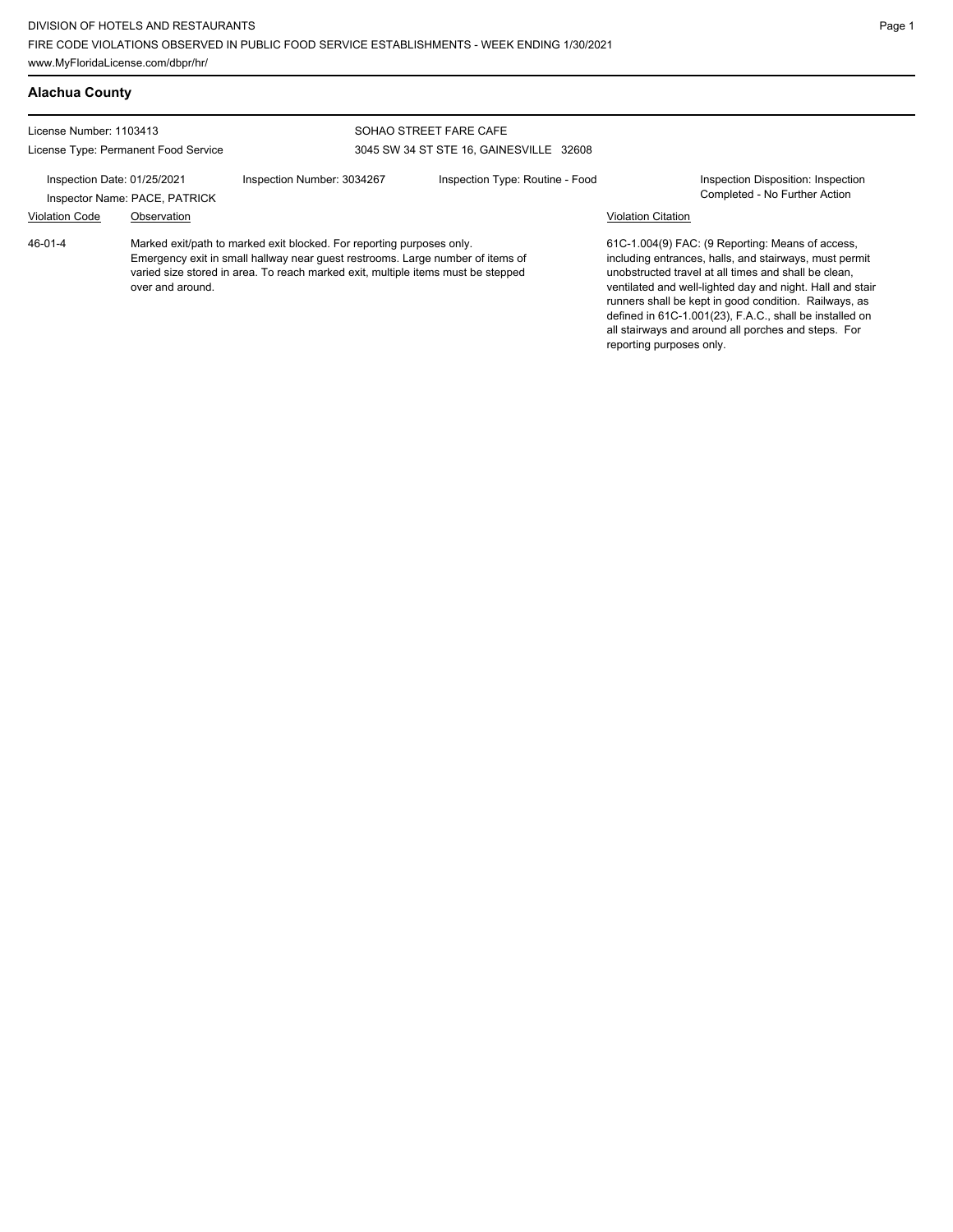| <b>Alachua County</b>                                                                                                                                                   |                  |                                                                                                                                                                                                                                             |                                 |                                                                                                  |                                                                                                                                                                                                                                                                                                                                                                                                            |
|-------------------------------------------------------------------------------------------------------------------------------------------------------------------------|------------------|---------------------------------------------------------------------------------------------------------------------------------------------------------------------------------------------------------------------------------------------|---------------------------------|--------------------------------------------------------------------------------------------------|------------------------------------------------------------------------------------------------------------------------------------------------------------------------------------------------------------------------------------------------------------------------------------------------------------------------------------------------------------------------------------------------------------|
| License Number: 1103413<br>License Type: Permanent Food Service<br>Inspection Date: 01/25/2021<br>Inspector Name: PACE, PATRICK<br><b>Violation Code</b><br>Observation |                  | SOHAO STREET FARE CAFE<br>3045 SW 34 ST STE 16, GAINESVILLE 32608                                                                                                                                                                           |                                 |                                                                                                  |                                                                                                                                                                                                                                                                                                                                                                                                            |
|                                                                                                                                                                         |                  | Inspection Number: 3034267                                                                                                                                                                                                                  | Inspection Type: Routine - Food | Inspection Disposition: Inspection<br>Completed - No Further Action<br><b>Violation Citation</b> |                                                                                                                                                                                                                                                                                                                                                                                                            |
| 46-01-4                                                                                                                                                                 | over and around. | Marked exit/path to marked exit blocked. For reporting purposes only.<br>Emergency exit in small hallway near guest restrooms. Large number of items of<br>varied size stored in area. To reach marked exit, multiple items must be stepped |                                 | reporting purposes only.                                                                         | 61C-1.004(9) FAC: (9 Reporting: Means of access,<br>including entrances, halls, and stairways, must permit<br>unobstructed travel at all times and shall be clean.<br>ventilated and well-lighted day and night. Hall and stair<br>runners shall be kept in good condition. Railways, as<br>defined in 61C-1.001(23), F.A.C., shall be installed on<br>all stairways and around all porches and steps. For |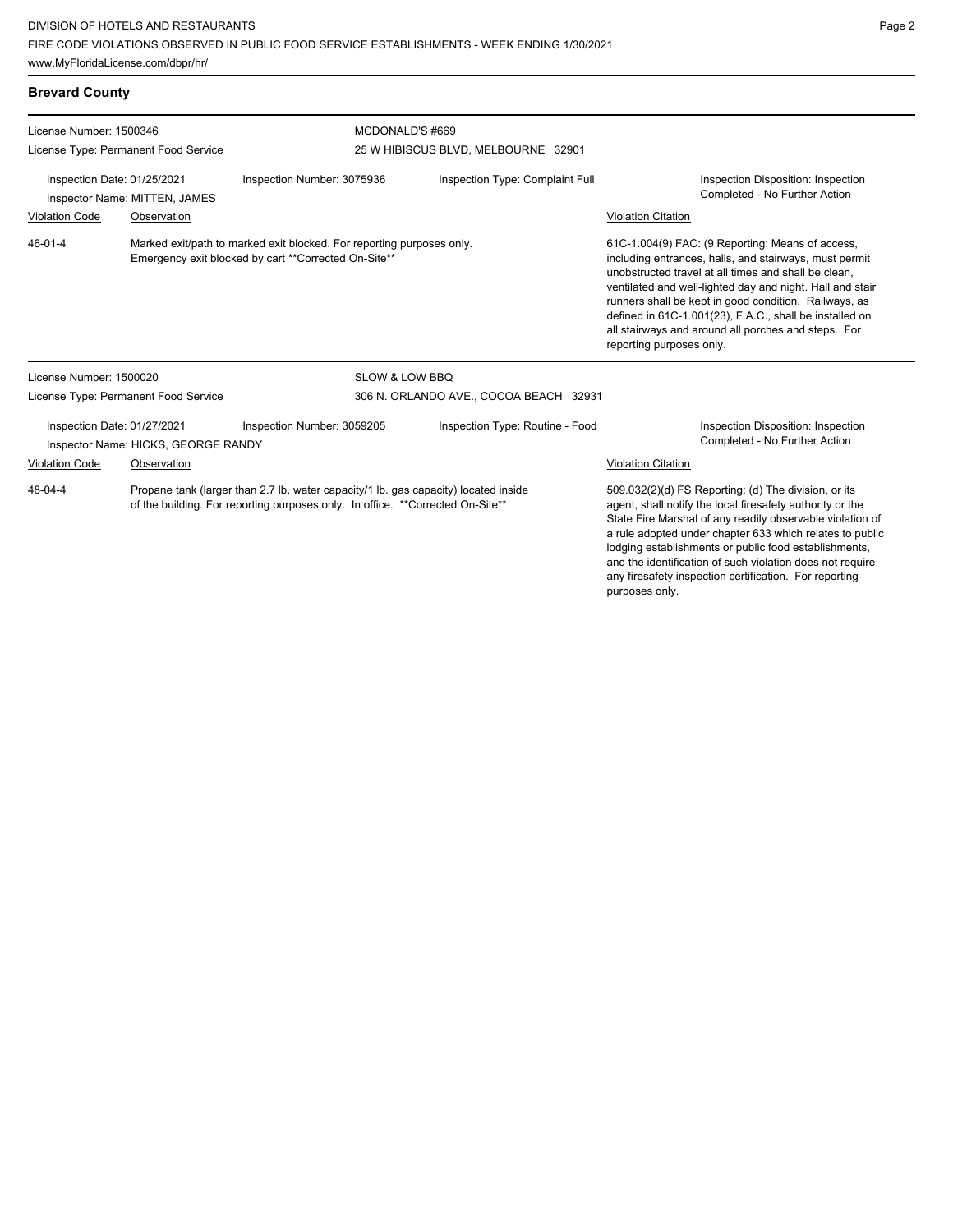purposes only.

| <b>Brevard County</b>                                                                                                                                                            |                                      |                            |                                        |                                                                                                                                                                                                                                                                                                                                                                                                                                        |  |  |
|----------------------------------------------------------------------------------------------------------------------------------------------------------------------------------|--------------------------------------|----------------------------|----------------------------------------|----------------------------------------------------------------------------------------------------------------------------------------------------------------------------------------------------------------------------------------------------------------------------------------------------------------------------------------------------------------------------------------------------------------------------------------|--|--|
| License Number: 1500346                                                                                                                                                          |                                      |                            | MCDONALD'S #669                        |                                                                                                                                                                                                                                                                                                                                                                                                                                        |  |  |
|                                                                                                                                                                                  | License Type: Permanent Food Service |                            | 25 W HIBISCUS BLVD, MELBOURNE 32901    |                                                                                                                                                                                                                                                                                                                                                                                                                                        |  |  |
| Inspection Date: 01/25/2021<br>Inspector Name: MITTEN, JAMES                                                                                                                     |                                      | Inspection Number: 3075936 | Inspection Type: Complaint Full        | Inspection Disposition: Inspection<br>Completed - No Further Action                                                                                                                                                                                                                                                                                                                                                                    |  |  |
| <b>Violation Code</b>                                                                                                                                                            | Observation                          |                            |                                        | <b>Violation Citation</b>                                                                                                                                                                                                                                                                                                                                                                                                              |  |  |
| 46-01-4<br>Marked exit/path to marked exit blocked. For reporting purposes only.<br>Emergency exit blocked by cart **Corrected On-Site**                                         |                                      |                            |                                        | 61C-1.004(9) FAC: (9 Reporting: Means of access,<br>including entrances, halls, and stairways, must permit<br>unobstructed travel at all times and shall be clean.<br>ventilated and well-lighted day and night. Hall and stair<br>runners shall be kept in good condition. Railways, as<br>defined in 61C-1.001(23), F.A.C., shall be installed on<br>all stairways and around all porches and steps. For<br>reporting purposes only. |  |  |
| License Number: 1500020                                                                                                                                                          |                                      | <b>SLOW &amp; LOW BBQ</b>  |                                        |                                                                                                                                                                                                                                                                                                                                                                                                                                        |  |  |
|                                                                                                                                                                                  | License Type: Permanent Food Service |                            | 306 N. ORLANDO AVE., COCOA BEACH 32931 |                                                                                                                                                                                                                                                                                                                                                                                                                                        |  |  |
| Inspection Date: 01/27/2021                                                                                                                                                      | Inspector Name: HICKS, GEORGE RANDY  | Inspection Number: 3059205 | Inspection Type: Routine - Food        | Inspection Disposition: Inspection<br>Completed - No Further Action                                                                                                                                                                                                                                                                                                                                                                    |  |  |
| <b>Violation Code</b><br>Observation                                                                                                                                             |                                      |                            | <b>Violation Citation</b>              |                                                                                                                                                                                                                                                                                                                                                                                                                                        |  |  |
| Propane tank (larger than 2.7 lb. water capacity/1 lb. gas capacity) located inside<br>48-04-4<br>of the building. For reporting purposes only. In office. **Corrected On-Site** |                                      |                            |                                        | 509.032(2)(d) FS Reporting: (d) The division, or its<br>agent, shall notify the local firesafety authority or the<br>State Fire Marshal of any readily observable violation of<br>a rule adopted under chapter 633 which relates to public<br>lodging establishments or public food establishments,<br>and the identification of such violation does not require<br>any firesafety inspection certification. For reporting             |  |  |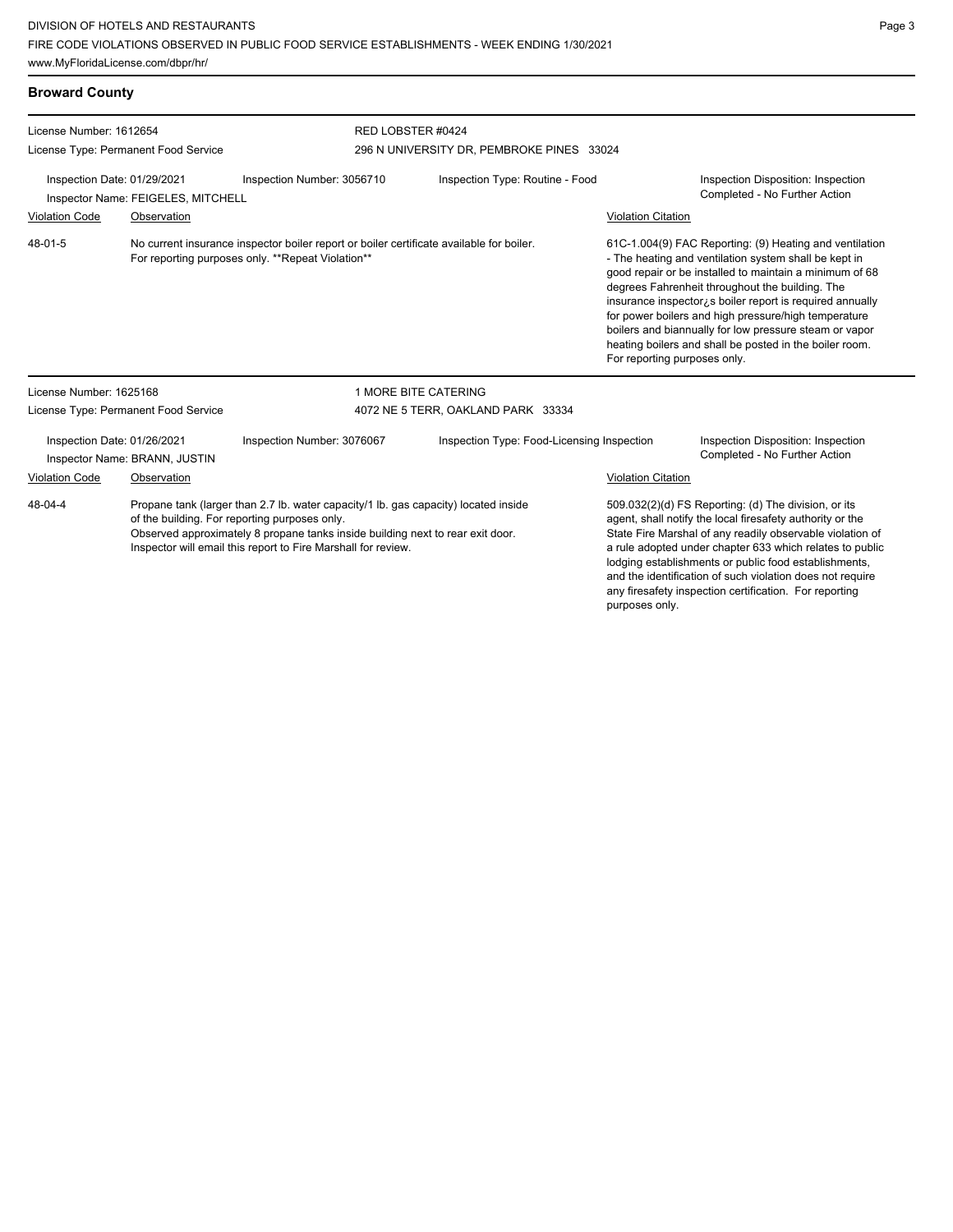| <b>Broward County</b>                                                                                     |                                      |                                                                                                                                               |                                                                                                                                                                       |                           |                                                                                                                                                                                                                                                                                                                                                                                                                                                                                                                     |  |  |
|-----------------------------------------------------------------------------------------------------------|--------------------------------------|-----------------------------------------------------------------------------------------------------------------------------------------------|-----------------------------------------------------------------------------------------------------------------------------------------------------------------------|---------------------------|---------------------------------------------------------------------------------------------------------------------------------------------------------------------------------------------------------------------------------------------------------------------------------------------------------------------------------------------------------------------------------------------------------------------------------------------------------------------------------------------------------------------|--|--|
| License Number: 1612654                                                                                   |                                      | RED LOBSTER #0424                                                                                                                             | 296 N UNIVERSITY DR, PEMBROKE PINES 33024                                                                                                                             |                           |                                                                                                                                                                                                                                                                                                                                                                                                                                                                                                                     |  |  |
| License Type: Permanent Food Service<br>Inspection Date: 01/29/2021<br>Inspector Name: FEIGELES, MITCHELL |                                      | Inspection Number: 3056710                                                                                                                    | Inspection Type: Routine - Food                                                                                                                                       |                           | Inspection Disposition: Inspection<br>Completed - No Further Action                                                                                                                                                                                                                                                                                                                                                                                                                                                 |  |  |
| <b>Violation Code</b>                                                                                     | Observation                          |                                                                                                                                               |                                                                                                                                                                       | <b>Violation Citation</b> |                                                                                                                                                                                                                                                                                                                                                                                                                                                                                                                     |  |  |
| 48-01-5                                                                                                   |                                      | No current insurance inspector boiler report or boiler certificate available for boiler.<br>For reporting purposes only. **Repeat Violation** |                                                                                                                                                                       |                           | 61C-1.004(9) FAC Reporting: (9) Heating and ventilation<br>- The heating and ventilation system shall be kept in<br>good repair or be installed to maintain a minimum of 68<br>degrees Fahrenheit throughout the building. The<br>insurance inspector <sub>is</sub> boiler report is required annually<br>for power boilers and high pressure/high temperature<br>boilers and biannually for low pressure steam or vapor<br>heating boilers and shall be posted in the boiler room.<br>For reporting purposes only. |  |  |
| License Number: 1625168                                                                                   |                                      |                                                                                                                                               | 1 MORE BITE CATERING                                                                                                                                                  |                           |                                                                                                                                                                                                                                                                                                                                                                                                                                                                                                                     |  |  |
|                                                                                                           | License Type: Permanent Food Service |                                                                                                                                               | 4072 NE 5 TERR, OAKLAND PARK 33334                                                                                                                                    |                           |                                                                                                                                                                                                                                                                                                                                                                                                                                                                                                                     |  |  |
| Inspection Date: 01/26/2021<br>Inspector Name: BRANN, JUSTIN                                              |                                      | Inspection Number: 3076067                                                                                                                    | Inspection Type: Food-Licensing Inspection                                                                                                                            |                           | Inspection Disposition: Inspection<br>Completed - No Further Action                                                                                                                                                                                                                                                                                                                                                                                                                                                 |  |  |
| <b>Violation Code</b>                                                                                     | Observation                          |                                                                                                                                               |                                                                                                                                                                       | <b>Violation Citation</b> |                                                                                                                                                                                                                                                                                                                                                                                                                                                                                                                     |  |  |
| 48-04-4<br>of the building. For reporting purposes only.                                                  |                                      | Inspector will email this report to Fire Marshall for review.                                                                                 | Propane tank (larger than 2.7 lb. water capacity/1 lb. gas capacity) located inside<br>Observed approximately 8 propane tanks inside building next to rear exit door. |                           | 509.032(2)(d) FS Reporting: (d) The division, or its<br>agent, shall notify the local firesafety authority or the<br>State Fire Marshal of any readily observable violation of<br>a rule adopted under chapter 633 which relates to public<br>lodging establishments or public food establishments,                                                                                                                                                                                                                 |  |  |

and the identification of such violation does not require any firesafety inspection certification. For reporting

purposes only.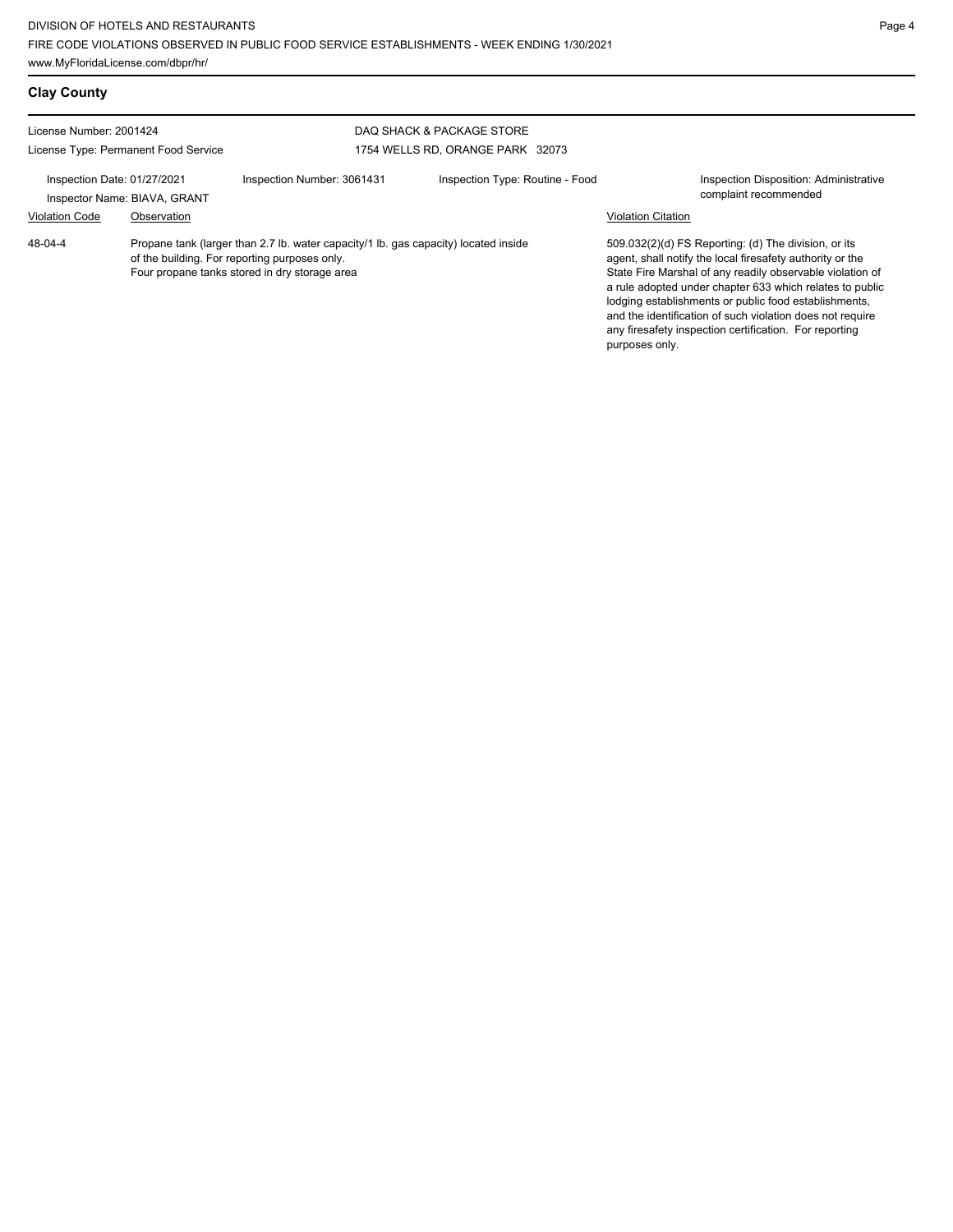| <b>Clay County</b>                                              |                                             |                                                                                                                                                                                       |                                                               |                           |                                                                                                                                                                                                                                                                                                                                                                                                                            |
|-----------------------------------------------------------------|---------------------------------------------|---------------------------------------------------------------------------------------------------------------------------------------------------------------------------------------|---------------------------------------------------------------|---------------------------|----------------------------------------------------------------------------------------------------------------------------------------------------------------------------------------------------------------------------------------------------------------------------------------------------------------------------------------------------------------------------------------------------------------------------|
| License Number: 2001424<br>License Type: Permanent Food Service |                                             |                                                                                                                                                                                       | DAQ SHACK & PACKAGE STORE<br>1754 WELLS RD, ORANGE PARK 32073 |                           |                                                                                                                                                                                                                                                                                                                                                                                                                            |
| Inspection Date: 01/27/2021<br><b>Violation Code</b>            | Inspector Name: BIAVA, GRANT<br>Observation | Inspection Number: 3061431                                                                                                                                                            | Inspection Type: Routine - Food                               | <b>Violation Citation</b> | Inspection Disposition: Administrative<br>complaint recommended                                                                                                                                                                                                                                                                                                                                                            |
| 48-04-4                                                         |                                             | Propane tank (larger than 2.7 lb. water capacity/1 lb. gas capacity) located inside<br>of the building. For reporting purposes only.<br>Four propane tanks stored in dry storage area |                                                               | purposes only.            | 509.032(2)(d) FS Reporting: (d) The division, or its<br>agent, shall notify the local firesafety authority or the<br>State Fire Marshal of any readily observable violation of<br>a rule adopted under chapter 633 which relates to public<br>lodging establishments or public food establishments,<br>and the identification of such violation does not require<br>any firesafety inspection certification. For reporting |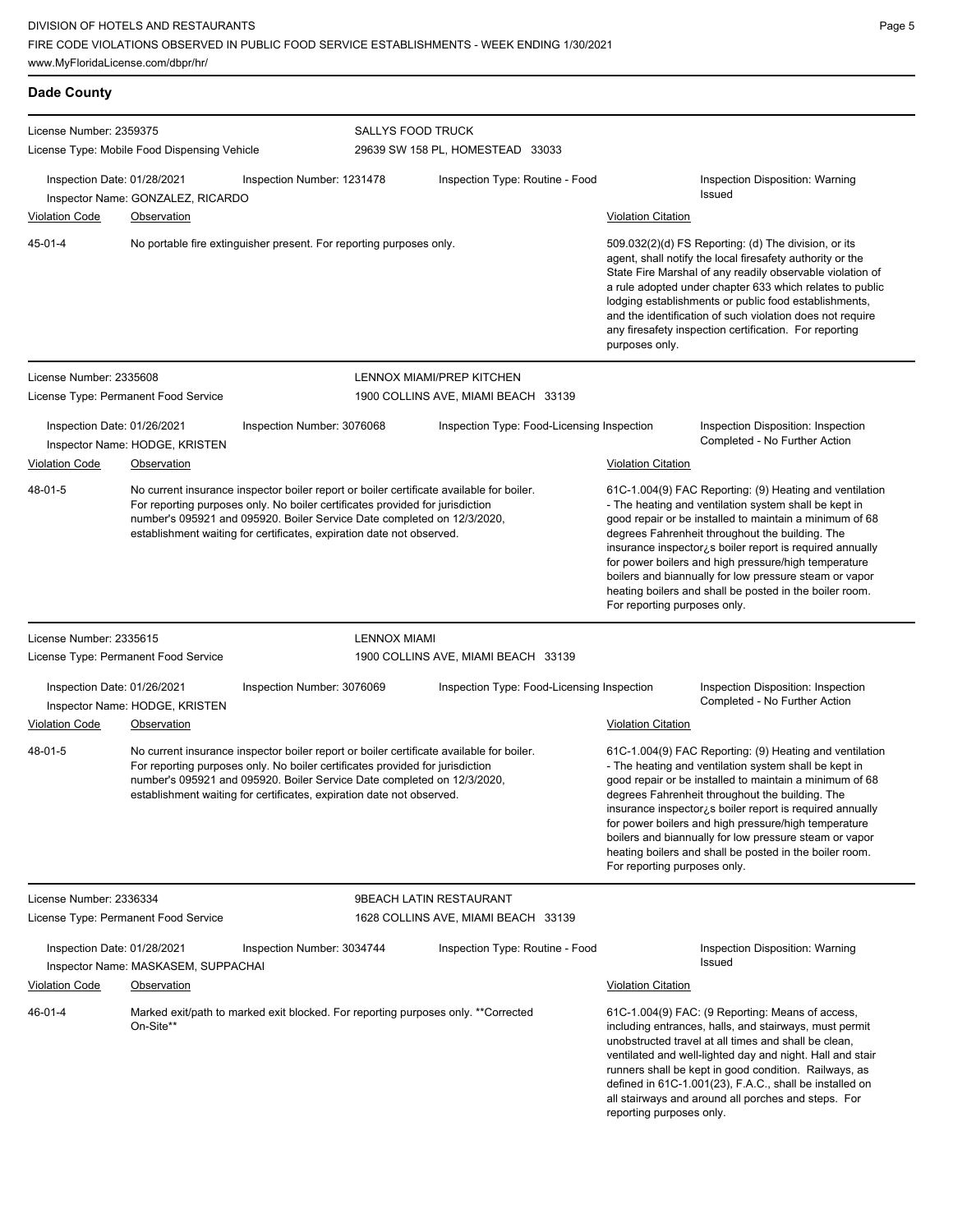| <b>Dade County</b>                                   |                                                                     |                                                                                                                                                                                                                                                                                                                               |                          |                                                                                                                                                                                                                                                                                                                                                                                                                                              |                                                                                                                                                                                                                                                                                                                                                                                                                                                                                                         |                                                                                                                                                                                                                                                                                                                                                                                                                                                                          |  |
|------------------------------------------------------|---------------------------------------------------------------------|-------------------------------------------------------------------------------------------------------------------------------------------------------------------------------------------------------------------------------------------------------------------------------------------------------------------------------|--------------------------|----------------------------------------------------------------------------------------------------------------------------------------------------------------------------------------------------------------------------------------------------------------------------------------------------------------------------------------------------------------------------------------------------------------------------------------------|---------------------------------------------------------------------------------------------------------------------------------------------------------------------------------------------------------------------------------------------------------------------------------------------------------------------------------------------------------------------------------------------------------------------------------------------------------------------------------------------------------|--------------------------------------------------------------------------------------------------------------------------------------------------------------------------------------------------------------------------------------------------------------------------------------------------------------------------------------------------------------------------------------------------------------------------------------------------------------------------|--|
| License Number: 2359375                              | License Type: Mobile Food Dispensing Vehicle                        |                                                                                                                                                                                                                                                                                                                               | <b>SALLYS FOOD TRUCK</b> | 29639 SW 158 PL, HOMESTEAD 33033                                                                                                                                                                                                                                                                                                                                                                                                             |                                                                                                                                                                                                                                                                                                                                                                                                                                                                                                         |                                                                                                                                                                                                                                                                                                                                                                                                                                                                          |  |
| Inspection Date: 01/28/2021                          |                                                                     | Inspection Number: 1231478                                                                                                                                                                                                                                                                                                    |                          | Inspection Type: Routine - Food                                                                                                                                                                                                                                                                                                                                                                                                              |                                                                                                                                                                                                                                                                                                                                                                                                                                                                                                         | Inspection Disposition: Warning<br>Issued                                                                                                                                                                                                                                                                                                                                                                                                                                |  |
| <b>Violation Code</b>                                | Inspector Name: GONZALEZ, RICARDO<br>Observation                    |                                                                                                                                                                                                                                                                                                                               |                          |                                                                                                                                                                                                                                                                                                                                                                                                                                              | <b>Violation Citation</b>                                                                                                                                                                                                                                                                                                                                                                                                                                                                               |                                                                                                                                                                                                                                                                                                                                                                                                                                                                          |  |
| $45 - 01 - 4$                                        | No portable fire extinguisher present. For reporting purposes only. |                                                                                                                                                                                                                                                                                                                               |                          | 509.032(2)(d) FS Reporting: (d) The division, or its<br>agent, shall notify the local firesafety authority or the<br>State Fire Marshal of any readily observable violation of<br>a rule adopted under chapter 633 which relates to public<br>lodging establishments or public food establishments,<br>and the identification of such violation does not require<br>any firesafety inspection certification. For reporting<br>purposes only. |                                                                                                                                                                                                                                                                                                                                                                                                                                                                                                         |                                                                                                                                                                                                                                                                                                                                                                                                                                                                          |  |
| License Number: 2335608                              |                                                                     |                                                                                                                                                                                                                                                                                                                               |                          | LENNOX MIAMI/PREP KITCHEN                                                                                                                                                                                                                                                                                                                                                                                                                    |                                                                                                                                                                                                                                                                                                                                                                                                                                                                                                         |                                                                                                                                                                                                                                                                                                                                                                                                                                                                          |  |
|                                                      | License Type: Permanent Food Service                                |                                                                                                                                                                                                                                                                                                                               |                          | 1900 COLLINS AVE, MIAMI BEACH 33139                                                                                                                                                                                                                                                                                                                                                                                                          |                                                                                                                                                                                                                                                                                                                                                                                                                                                                                                         |                                                                                                                                                                                                                                                                                                                                                                                                                                                                          |  |
| Inspection Date: 01/26/2021<br><b>Violation Code</b> | Inspector Name: HODGE, KRISTEN<br><b>Observation</b>                | Inspection Number: 3076068                                                                                                                                                                                                                                                                                                    |                          | Inspection Type: Food-Licensing Inspection                                                                                                                                                                                                                                                                                                                                                                                                   | <b>Violation Citation</b>                                                                                                                                                                                                                                                                                                                                                                                                                                                                               | Inspection Disposition: Inspection<br>Completed - No Further Action                                                                                                                                                                                                                                                                                                                                                                                                      |  |
| 48-01-5                                              |                                                                     | No current insurance inspector boiler report or boiler certificate available for boiler.<br>For reporting purposes only. No boiler certificates provided for jurisdiction<br>number's 095921 and 095920. Boiler Service Date completed on 12/3/2020,<br>establishment waiting for certificates, expiration date not observed. |                          |                                                                                                                                                                                                                                                                                                                                                                                                                                              | 61C-1.004(9) FAC Reporting: (9) Heating and ventilation<br>- The heating and ventilation system shall be kept in<br>good repair or be installed to maintain a minimum of 68<br>degrees Fahrenheit throughout the building. The<br>insurance inspector¿s boiler report is required annually<br>for power boilers and high pressure/high temperature<br>boilers and biannually for low pressure steam or vapor<br>heating boilers and shall be posted in the boiler room.<br>For reporting purposes only. |                                                                                                                                                                                                                                                                                                                                                                                                                                                                          |  |
| License Number: 2335615                              |                                                                     |                                                                                                                                                                                                                                                                                                                               | <b>LENNOX MIAMI</b>      |                                                                                                                                                                                                                                                                                                                                                                                                                                              |                                                                                                                                                                                                                                                                                                                                                                                                                                                                                                         |                                                                                                                                                                                                                                                                                                                                                                                                                                                                          |  |
|                                                      | License Type: Permanent Food Service                                |                                                                                                                                                                                                                                                                                                                               |                          | 1900 COLLINS AVE, MIAMI BEACH 33139                                                                                                                                                                                                                                                                                                                                                                                                          |                                                                                                                                                                                                                                                                                                                                                                                                                                                                                                         |                                                                                                                                                                                                                                                                                                                                                                                                                                                                          |  |
| Inspection Date: 01/26/2021                          | Inspector Name: HODGE, KRISTEN                                      | Inspection Number: 3076069                                                                                                                                                                                                                                                                                                    |                          | Inspection Type: Food-Licensing Inspection                                                                                                                                                                                                                                                                                                                                                                                                   |                                                                                                                                                                                                                                                                                                                                                                                                                                                                                                         | Inspection Disposition: Inspection<br>Completed - No Further Action                                                                                                                                                                                                                                                                                                                                                                                                      |  |
| <b>Violation Code</b>                                | Observation                                                         |                                                                                                                                                                                                                                                                                                                               |                          |                                                                                                                                                                                                                                                                                                                                                                                                                                              | <b>Violation Citation</b>                                                                                                                                                                                                                                                                                                                                                                                                                                                                               |                                                                                                                                                                                                                                                                                                                                                                                                                                                                          |  |
| 48-01-5                                              |                                                                     | No current insurance inspector boiler report or boiler certificate available for boiler.<br>For reporting purposes only. No boiler certificates provided for jurisdiction<br>number's 095921 and 095920. Boiler Service Date completed on 12/3/2020,<br>establishment waiting for certificates, expiration date not observed. |                          |                                                                                                                                                                                                                                                                                                                                                                                                                                              | For reporting purposes only.                                                                                                                                                                                                                                                                                                                                                                                                                                                                            | 61C-1.004(9) FAC Reporting: (9) Heating and ventilation<br>- The heating and ventilation system shall be kept in<br>good repair or be installed to maintain a minimum of 68<br>degrees Fahrenheit throughout the building. The<br>insurance inspector is boiler report is required annually<br>for power boilers and high pressure/high temperature<br>boilers and biannually for low pressure steam or vapor<br>heating boilers and shall be posted in the boiler room. |  |
| License Number: 2336334                              | License Type: Permanent Food Service                                |                                                                                                                                                                                                                                                                                                                               | 9BEACH LATIN RESTAURANT  | 1628 COLLINS AVE, MIAMI BEACH 33139                                                                                                                                                                                                                                                                                                                                                                                                          |                                                                                                                                                                                                                                                                                                                                                                                                                                                                                                         |                                                                                                                                                                                                                                                                                                                                                                                                                                                                          |  |
| Inspection Date: 01/28/2021                          | Inspector Name: MASKASEM, SUPPACHAI                                 | Inspection Number: 3034744                                                                                                                                                                                                                                                                                                    |                          | Inspection Type: Routine - Food                                                                                                                                                                                                                                                                                                                                                                                                              |                                                                                                                                                                                                                                                                                                                                                                                                                                                                                                         | <b>Inspection Disposition: Warning</b><br>Issued                                                                                                                                                                                                                                                                                                                                                                                                                         |  |
| <b>Violation Code</b>                                | <b>Observation</b>                                                  |                                                                                                                                                                                                                                                                                                                               |                          |                                                                                                                                                                                                                                                                                                                                                                                                                                              | <b>Violation Citation</b>                                                                                                                                                                                                                                                                                                                                                                                                                                                                               |                                                                                                                                                                                                                                                                                                                                                                                                                                                                          |  |
| $46 - 01 - 4$                                        | On-Site**                                                           | Marked exit/path to marked exit blocked. For reporting purposes only. **Corrected                                                                                                                                                                                                                                             |                          |                                                                                                                                                                                                                                                                                                                                                                                                                                              | reporting purposes only.                                                                                                                                                                                                                                                                                                                                                                                                                                                                                | 61C-1.004(9) FAC: (9 Reporting: Means of access,<br>including entrances, halls, and stairways, must permit<br>unobstructed travel at all times and shall be clean,<br>ventilated and well-lighted day and night. Hall and stair<br>runners shall be kept in good condition. Railways, as<br>defined in 61C-1.001(23), F.A.C., shall be installed on<br>all stairways and around all porches and steps. For                                                               |  |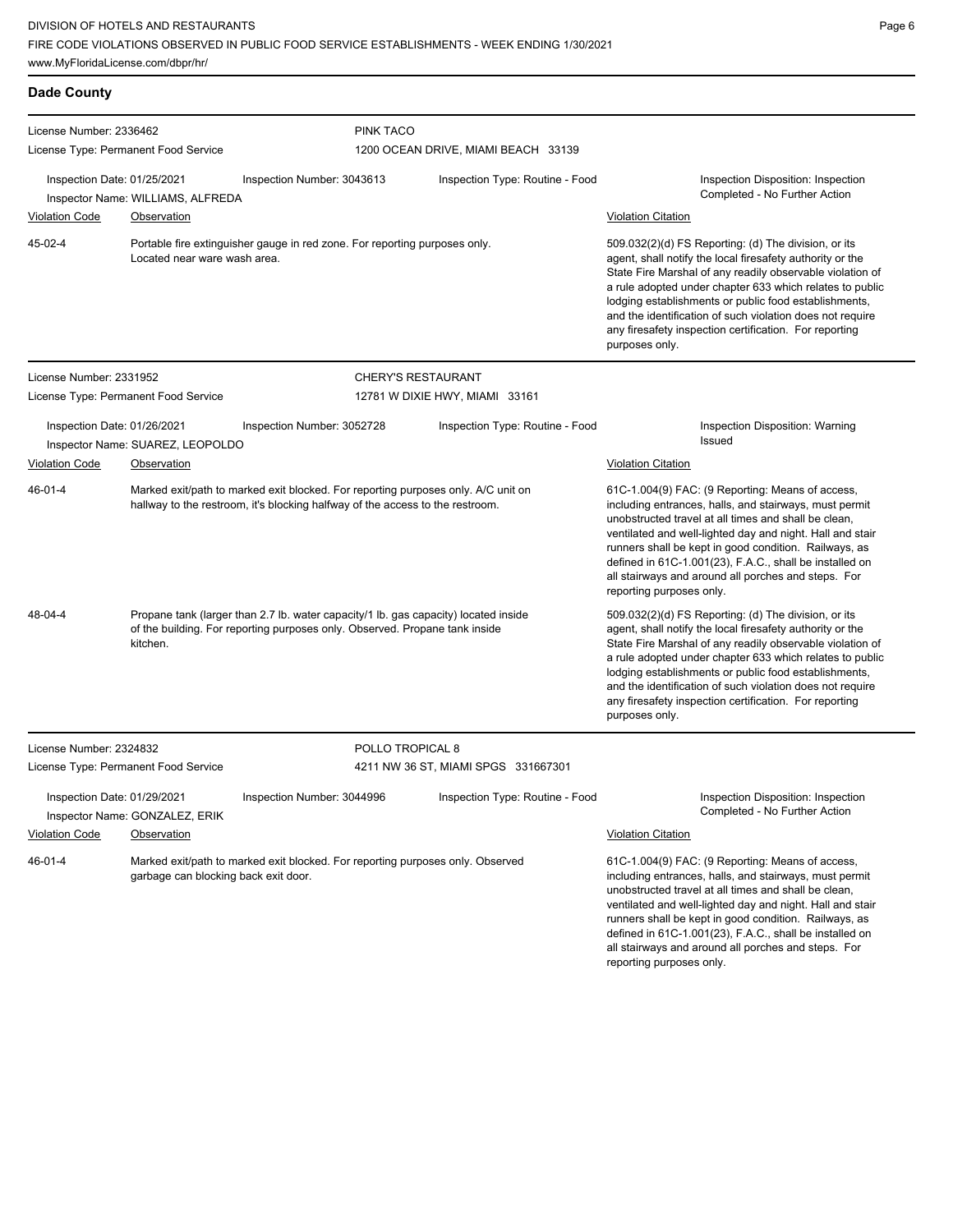| $\sim$ | ۰, |
|--------|----|
|        |    |

| <b>Dade County</b>                                   |                                                                                                                                                                                |                                                                                                                                                                    |                                     |                                                                                                                                                                                                                                                                                                                                                                                                                                              |                                                                                                                                                                                                                                                                                                                                                                                                                                        |
|------------------------------------------------------|--------------------------------------------------------------------------------------------------------------------------------------------------------------------------------|--------------------------------------------------------------------------------------------------------------------------------------------------------------------|-------------------------------------|----------------------------------------------------------------------------------------------------------------------------------------------------------------------------------------------------------------------------------------------------------------------------------------------------------------------------------------------------------------------------------------------------------------------------------------------|----------------------------------------------------------------------------------------------------------------------------------------------------------------------------------------------------------------------------------------------------------------------------------------------------------------------------------------------------------------------------------------------------------------------------------------|
| License Number: 2336462                              |                                                                                                                                                                                |                                                                                                                                                                    | <b>PINK TACO</b>                    |                                                                                                                                                                                                                                                                                                                                                                                                                                              |                                                                                                                                                                                                                                                                                                                                                                                                                                        |
|                                                      | License Type: Permanent Food Service                                                                                                                                           |                                                                                                                                                                    |                                     | 1200 OCEAN DRIVE, MIAMI BEACH 33139                                                                                                                                                                                                                                                                                                                                                                                                          |                                                                                                                                                                                                                                                                                                                                                                                                                                        |
| Inspection Date: 01/25/2021                          | Inspector Name: WILLIAMS, ALFREDA                                                                                                                                              | Inspection Number: 3043613                                                                                                                                         |                                     | Inspection Type: Routine - Food                                                                                                                                                                                                                                                                                                                                                                                                              | Inspection Disposition: Inspection<br>Completed - No Further Action                                                                                                                                                                                                                                                                                                                                                                    |
| <b>Violation Code</b>                                | <b>Observation</b>                                                                                                                                                             |                                                                                                                                                                    |                                     |                                                                                                                                                                                                                                                                                                                                                                                                                                              | <b>Violation Citation</b>                                                                                                                                                                                                                                                                                                                                                                                                              |
| 45-02-4                                              | Portable fire extinguisher gauge in red zone. For reporting purposes only.<br>Located near ware wash area.                                                                     |                                                                                                                                                                    |                                     | 509.032(2)(d) FS Reporting: (d) The division, or its<br>agent, shall notify the local firesafety authority or the<br>State Fire Marshal of any readily observable violation of<br>a rule adopted under chapter 633 which relates to public<br>lodging establishments or public food establishments,<br>and the identification of such violation does not require<br>any firesafety inspection certification. For reporting<br>purposes only. |                                                                                                                                                                                                                                                                                                                                                                                                                                        |
| License Number: 2331952                              |                                                                                                                                                                                |                                                                                                                                                                    | <b>CHERY'S RESTAURANT</b>           |                                                                                                                                                                                                                                                                                                                                                                                                                                              |                                                                                                                                                                                                                                                                                                                                                                                                                                        |
|                                                      | License Type: Permanent Food Service                                                                                                                                           |                                                                                                                                                                    |                                     | 12781 W DIXIE HWY, MIAMI 33161                                                                                                                                                                                                                                                                                                                                                                                                               |                                                                                                                                                                                                                                                                                                                                                                                                                                        |
| Inspection Date: 01/26/2021                          | Inspector Name: SUAREZ, LEOPOLDO                                                                                                                                               | Inspection Number: 3052728                                                                                                                                         |                                     | Inspection Type: Routine - Food                                                                                                                                                                                                                                                                                                                                                                                                              | Inspection Disposition: Warning<br>Issued                                                                                                                                                                                                                                                                                                                                                                                              |
| <b>Violation Code</b><br>Observation                 |                                                                                                                                                                                |                                                                                                                                                                    | <b>Violation Citation</b>           |                                                                                                                                                                                                                                                                                                                                                                                                                                              |                                                                                                                                                                                                                                                                                                                                                                                                                                        |
| 46-01-4                                              |                                                                                                                                                                                | Marked exit/path to marked exit blocked. For reporting purposes only. A/C unit on<br>hallway to the restroom, it's blocking halfway of the access to the restroom. |                                     |                                                                                                                                                                                                                                                                                                                                                                                                                                              | 61C-1.004(9) FAC: (9 Reporting: Means of access,<br>including entrances, halls, and stairways, must permit<br>unobstructed travel at all times and shall be clean,<br>ventilated and well-lighted day and night. Hall and stair<br>runners shall be kept in good condition. Railways, as<br>defined in 61C-1.001(23), F.A.C., shall be installed on<br>all stairways and around all porches and steps. For<br>reporting purposes only. |
| 48-04-4                                              | Propane tank (larger than 2.7 lb. water capacity/1 lb. gas capacity) located inside<br>of the building. For reporting purposes only. Observed. Propane tank inside<br>kitchen. |                                                                                                                                                                    |                                     | 509.032(2)(d) FS Reporting: (d) The division, or its<br>agent, shall notify the local firesafety authority or the<br>State Fire Marshal of any readily observable violation of<br>a rule adopted under chapter 633 which relates to public<br>lodging establishments or public food establishments,<br>and the identification of such violation does not require<br>any firesafety inspection certification. For reporting<br>purposes only. |                                                                                                                                                                                                                                                                                                                                                                                                                                        |
| License Number: 2324832                              |                                                                                                                                                                                |                                                                                                                                                                    | POLLO TROPICAL 8                    |                                                                                                                                                                                                                                                                                                                                                                                                                                              |                                                                                                                                                                                                                                                                                                                                                                                                                                        |
|                                                      | License Type: Permanent Food Service                                                                                                                                           |                                                                                                                                                                    | 4211 NW 36 ST, MIAMI SPGS 331667301 |                                                                                                                                                                                                                                                                                                                                                                                                                                              |                                                                                                                                                                                                                                                                                                                                                                                                                                        |
| Inspection Date: 01/29/2021<br><b>Violation Code</b> | Inspector Name: GONZALEZ, ERIK<br><b>Observation</b>                                                                                                                           | Inspection Number: 3044996                                                                                                                                         |                                     | Inspection Type: Routine - Food                                                                                                                                                                                                                                                                                                                                                                                                              | Inspection Disposition: Inspection<br>Completed - No Further Action<br><b>Violation Citation</b>                                                                                                                                                                                                                                                                                                                                       |
| 46-01-4                                              | garbage can blocking back exit door.                                                                                                                                           | Marked exit/path to marked exit blocked. For reporting purposes only. Observed                                                                                     |                                     |                                                                                                                                                                                                                                                                                                                                                                                                                                              | 61C-1.004(9) FAC: (9 Reporting: Means of access,<br>including entrances, halls, and stairways, must permit<br>unobstructed travel at all times and shall be clean,<br>ventilated and well-lighted day and night. Hall and stair<br>runners shall be kept in good condition. Railways, as<br>defined in 61C-1.001(23), F.A.C., shall be installed on<br>all stairways and around all porches and steps. For<br>reporting purposes only. |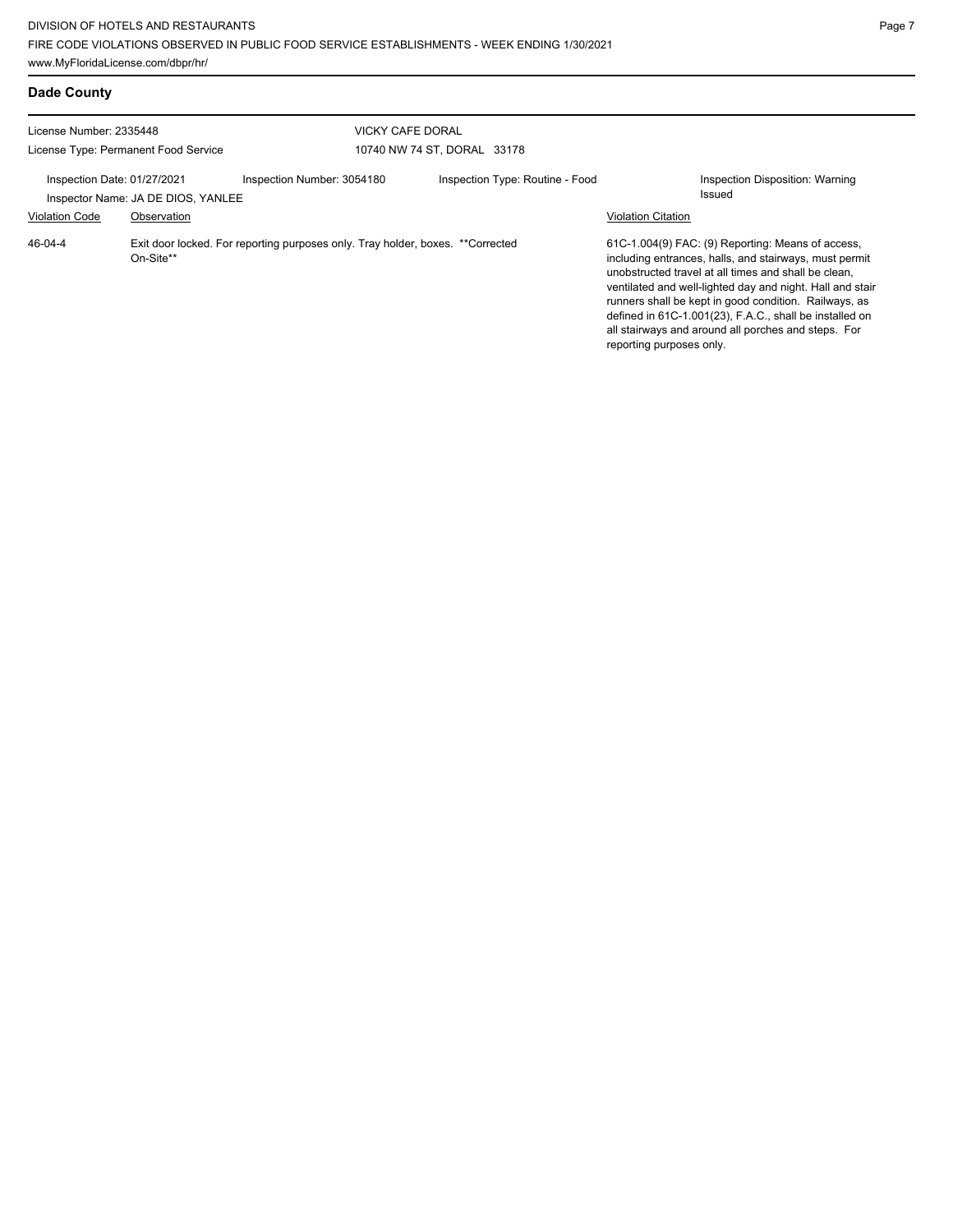**Dade County**

| License Number: 2335448                                           |             | <b>VICKY CAFE DORAL</b>                                                         |                                 |                                                                                                                                                                                                                                                                                                                                                                                                                                         |
|-------------------------------------------------------------------|-------------|---------------------------------------------------------------------------------|---------------------------------|-----------------------------------------------------------------------------------------------------------------------------------------------------------------------------------------------------------------------------------------------------------------------------------------------------------------------------------------------------------------------------------------------------------------------------------------|
| License Type: Permanent Food Service                              |             |                                                                                 | 10740 NW 74 ST, DORAL 33178     |                                                                                                                                                                                                                                                                                                                                                                                                                                         |
| Inspection Date: 01/27/2021<br>Inspector Name: JA DE DIOS, YANLEE |             | Inspection Number: 3054180                                                      | Inspection Type: Routine - Food | Inspection Disposition: Warning<br>Issued                                                                                                                                                                                                                                                                                                                                                                                               |
| <b>Violation Code</b>                                             | Observation |                                                                                 |                                 | <b>Violation Citation</b>                                                                                                                                                                                                                                                                                                                                                                                                               |
| 46-04-4                                                           | On-Site**   | Exit door locked. For reporting purposes only. Tray holder, boxes. ** Corrected |                                 | 61C-1.004(9) FAC: (9) Reporting: Means of access,<br>including entrances, halls, and stairways, must permit<br>unobstructed travel at all times and shall be clean.<br>ventilated and well-lighted day and night. Hall and stair<br>runners shall be kept in good condition. Railways, as<br>defined in 61C-1.001(23), F.A.C., shall be installed on<br>all stairways and around all porches and steps. For<br>reporting purposes only. |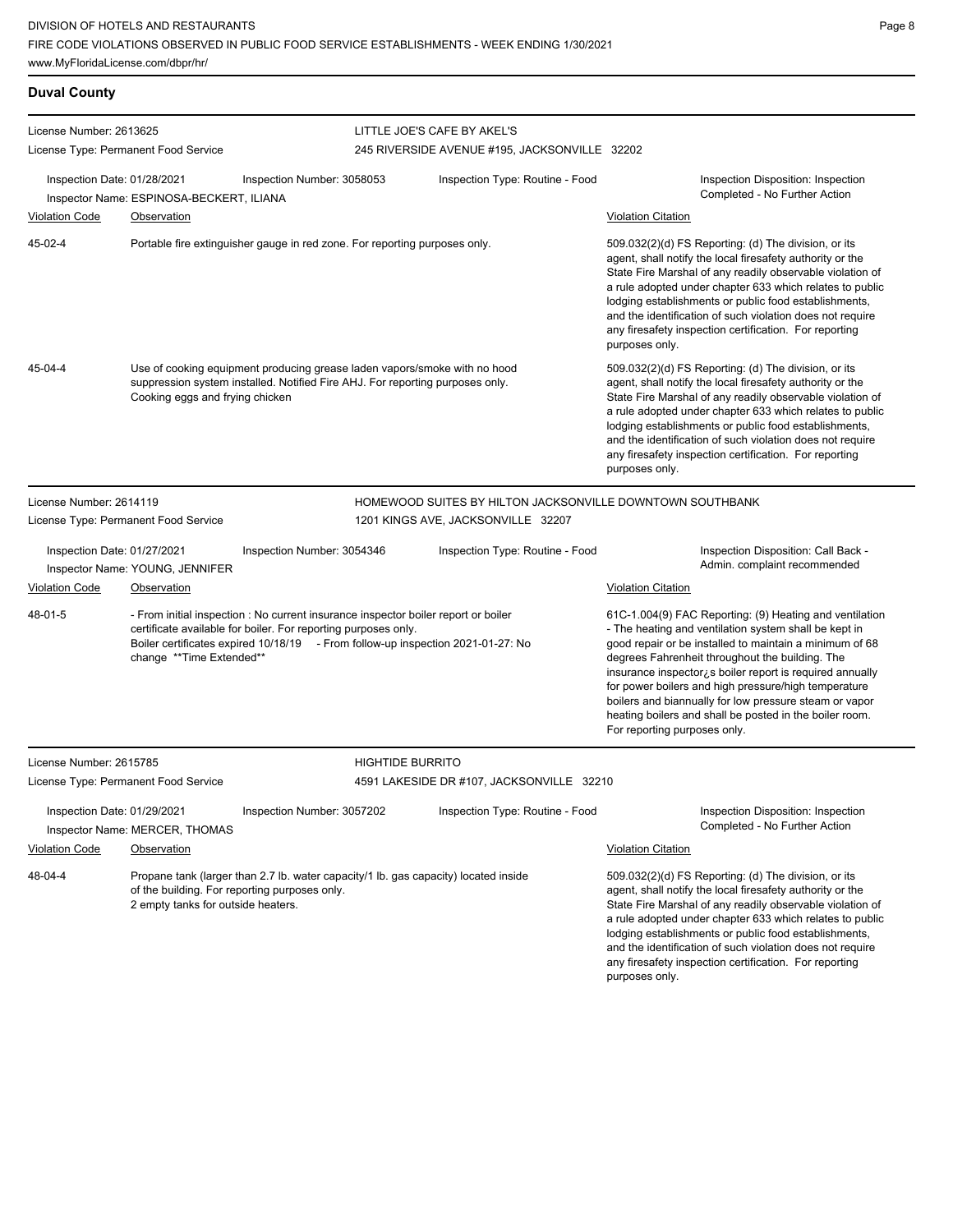| <b>Duval County</b>         |                                                                                                                                                                                               |                                                                                                                                                                                                                                         |                                                           |                                                                                                                                                                                                                                                                                                                                                                                                                                                                                                           |  |  |
|-----------------------------|-----------------------------------------------------------------------------------------------------------------------------------------------------------------------------------------------|-----------------------------------------------------------------------------------------------------------------------------------------------------------------------------------------------------------------------------------------|-----------------------------------------------------------|-----------------------------------------------------------------------------------------------------------------------------------------------------------------------------------------------------------------------------------------------------------------------------------------------------------------------------------------------------------------------------------------------------------------------------------------------------------------------------------------------------------|--|--|
| License Number: 2613625     |                                                                                                                                                                                               |                                                                                                                                                                                                                                         | LITTLE JOE'S CAFE BY AKEL'S                               |                                                                                                                                                                                                                                                                                                                                                                                                                                                                                                           |  |  |
|                             | License Type: Permanent Food Service                                                                                                                                                          |                                                                                                                                                                                                                                         | 245 RIVERSIDE AVENUE #195, JACKSONVILLE 32202             |                                                                                                                                                                                                                                                                                                                                                                                                                                                                                                           |  |  |
| Inspection Date: 01/28/2021 | Inspector Name: ESPINOSA-BECKERT, ILIANA                                                                                                                                                      | Inspection Number: 3058053                                                                                                                                                                                                              | Inspection Type: Routine - Food                           | Inspection Disposition: Inspection<br>Completed - No Further Action                                                                                                                                                                                                                                                                                                                                                                                                                                       |  |  |
| <b>Violation Code</b>       | <b>Observation</b>                                                                                                                                                                            |                                                                                                                                                                                                                                         |                                                           | <b>Violation Citation</b>                                                                                                                                                                                                                                                                                                                                                                                                                                                                                 |  |  |
| 45-02-4                     | Portable fire extinguisher gauge in red zone. For reporting purposes only.                                                                                                                    |                                                                                                                                                                                                                                         |                                                           | 509.032(2)(d) FS Reporting: (d) The division, or its<br>agent, shall notify the local firesafety authority or the<br>State Fire Marshal of any readily observable violation of<br>a rule adopted under chapter 633 which relates to public<br>lodging establishments or public food establishments,<br>and the identification of such violation does not require<br>any firesafety inspection certification. For reporting<br>purposes only.                                                              |  |  |
| 45-04-4                     | Use of cooking equipment producing grease laden vapors/smoke with no hood<br>suppression system installed. Notified Fire AHJ. For reporting purposes only.<br>Cooking eggs and frying chicken |                                                                                                                                                                                                                                         |                                                           | 509.032(2)(d) FS Reporting: (d) The division, or its<br>agent, shall notify the local firesafety authority or the<br>State Fire Marshal of any readily observable violation of<br>a rule adopted under chapter 633 which relates to public<br>lodging establishments or public food establishments,<br>and the identification of such violation does not require<br>any firesafety inspection certification. For reporting<br>purposes only.                                                              |  |  |
| License Number: 2614119     |                                                                                                                                                                                               |                                                                                                                                                                                                                                         | HOMEWOOD SUITES BY HILTON JACKSONVILLE DOWNTOWN SOUTHBANK |                                                                                                                                                                                                                                                                                                                                                                                                                                                                                                           |  |  |
|                             | License Type: Permanent Food Service                                                                                                                                                          |                                                                                                                                                                                                                                         | 1201 KINGS AVE, JACKSONVILLE 32207                        |                                                                                                                                                                                                                                                                                                                                                                                                                                                                                                           |  |  |
| Inspection Date: 01/27/2021 | Inspector Name: YOUNG, JENNIFER                                                                                                                                                               | Inspection Number: 3054346                                                                                                                                                                                                              | Inspection Type: Routine - Food                           | Inspection Disposition: Call Back -<br>Admin. complaint recommended                                                                                                                                                                                                                                                                                                                                                                                                                                       |  |  |
| <b>Violation Code</b>       | <b>Observation</b>                                                                                                                                                                            |                                                                                                                                                                                                                                         |                                                           | <b>Violation Citation</b>                                                                                                                                                                                                                                                                                                                                                                                                                                                                                 |  |  |
| 48-01-5                     | change **Time Extended**                                                                                                                                                                      | - From initial inspection : No current insurance inspector boiler report or boiler<br>certificate available for boiler. For reporting purposes only.<br>Boiler certificates expired 10/18/19 - From follow-up inspection 2021-01-27: No |                                                           | 61C-1.004(9) FAC Reporting: (9) Heating and ventilation<br>- The heating and ventilation system shall be kept in<br>good repair or be installed to maintain a minimum of 68<br>degrees Fahrenheit throughout the building. The<br>insurance inspector, is boiler report is required annually<br>for power boilers and high pressure/high temperature<br>boilers and biannually for low pressure steam or vapor<br>heating boilers and shall be posted in the boiler room.<br>For reporting purposes only. |  |  |
| License Number: 2615785     |                                                                                                                                                                                               |                                                                                                                                                                                                                                         | <b>HIGHTIDE BURRITO</b>                                   |                                                                                                                                                                                                                                                                                                                                                                                                                                                                                                           |  |  |
|                             | License Type: Permanent Food Service                                                                                                                                                          |                                                                                                                                                                                                                                         | 4591 LAKESIDE DR #107, JACKSONVILLE 32210                 |                                                                                                                                                                                                                                                                                                                                                                                                                                                                                                           |  |  |
| Inspection Date: 01/29/2021 | Inspector Name: MERCER, THOMAS                                                                                                                                                                | Inspection Number: 3057202                                                                                                                                                                                                              | Inspection Type: Routine - Food                           | Inspection Disposition: Inspection<br>Completed - No Further Action                                                                                                                                                                                                                                                                                                                                                                                                                                       |  |  |
| <b>Violation Code</b>       | <b>Observation</b>                                                                                                                                                                            |                                                                                                                                                                                                                                         |                                                           | <b>Violation Citation</b>                                                                                                                                                                                                                                                                                                                                                                                                                                                                                 |  |  |
| 48-04-4                     | 2 empty tanks for outside heaters.                                                                                                                                                            | Propane tank (larger than 2.7 lb. water capacity/1 lb. gas capacity) located inside<br>of the building. For reporting purposes only.                                                                                                    |                                                           | 509.032(2)(d) FS Reporting: (d) The division, or its<br>agent, shall notify the local firesafety authority or the<br>State Fire Marshal of any readily observable violation of<br>a rule adopted under chapter 633 which relates to public<br>lodging establishments or public food establishments,<br>and the identification of such violation does not require<br>any firesafety inspection certification. For reporting<br>purposes only.                                                              |  |  |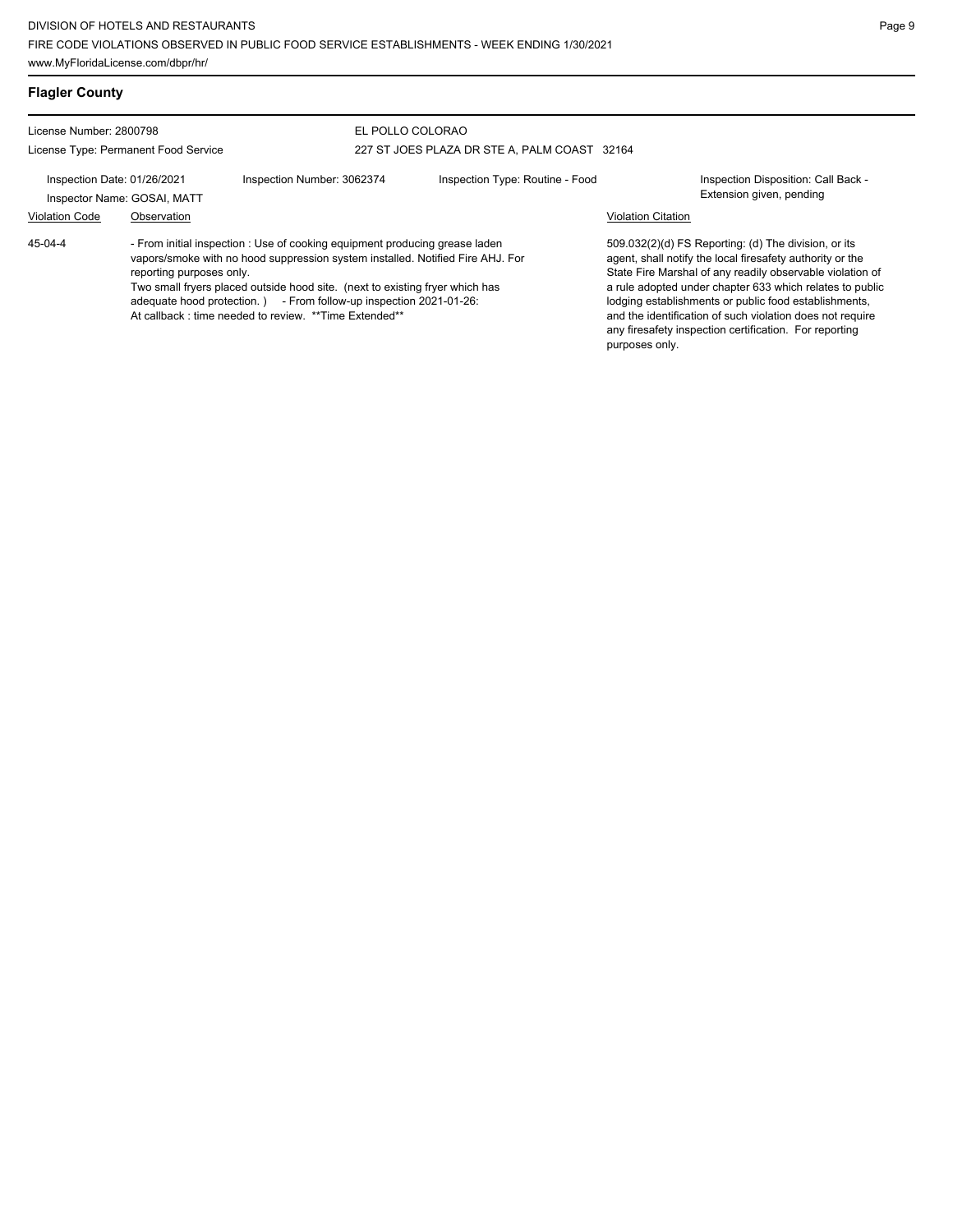| <b>Flagler County</b>                                                               |                          |                                                                                                                                                                                                                                                                                                                                                                               |                                 |                           |                                                                                                                                                                                                                                                                                                                                                                                                                            |
|-------------------------------------------------------------------------------------|--------------------------|-------------------------------------------------------------------------------------------------------------------------------------------------------------------------------------------------------------------------------------------------------------------------------------------------------------------------------------------------------------------------------|---------------------------------|---------------------------|----------------------------------------------------------------------------------------------------------------------------------------------------------------------------------------------------------------------------------------------------------------------------------------------------------------------------------------------------------------------------------------------------------------------------|
| License Number: 2800798<br>License Type: Permanent Food Service                     |                          | EL POLLO COLORAO<br>227 ST JOES PLAZA DR STE A, PALM COAST 32164                                                                                                                                                                                                                                                                                                              |                                 |                           |                                                                                                                                                                                                                                                                                                                                                                                                                            |
| Inspection Date: 01/26/2021<br>Inspector Name: GOSAI, MATT<br><b>Violation Code</b> | Observation              | Inspection Number: 3062374                                                                                                                                                                                                                                                                                                                                                    | Inspection Type: Routine - Food | <b>Violation Citation</b> | Inspection Disposition: Call Back -<br>Extension given, pending                                                                                                                                                                                                                                                                                                                                                            |
| 45-04-4                                                                             | reporting purposes only. | - From initial inspection : Use of cooking equipment producing grease laden<br>vapors/smoke with no hood suppression system installed. Notified Fire AHJ. For<br>Two small fryers placed outside hood site. (next to existing fryer which has<br>adequate hood protection.) - From follow-up inspection 2021-01-26:<br>At callback: time needed to review. ** Time Extended** |                                 | purposes only.            | 509.032(2)(d) FS Reporting: (d) The division, or its<br>agent, shall notify the local firesafety authority or the<br>State Fire Marshal of any readily observable violation of<br>a rule adopted under chapter 633 which relates to public<br>lodging establishments or public food establishments,<br>and the identification of such violation does not require<br>any firesafety inspection certification. For reporting |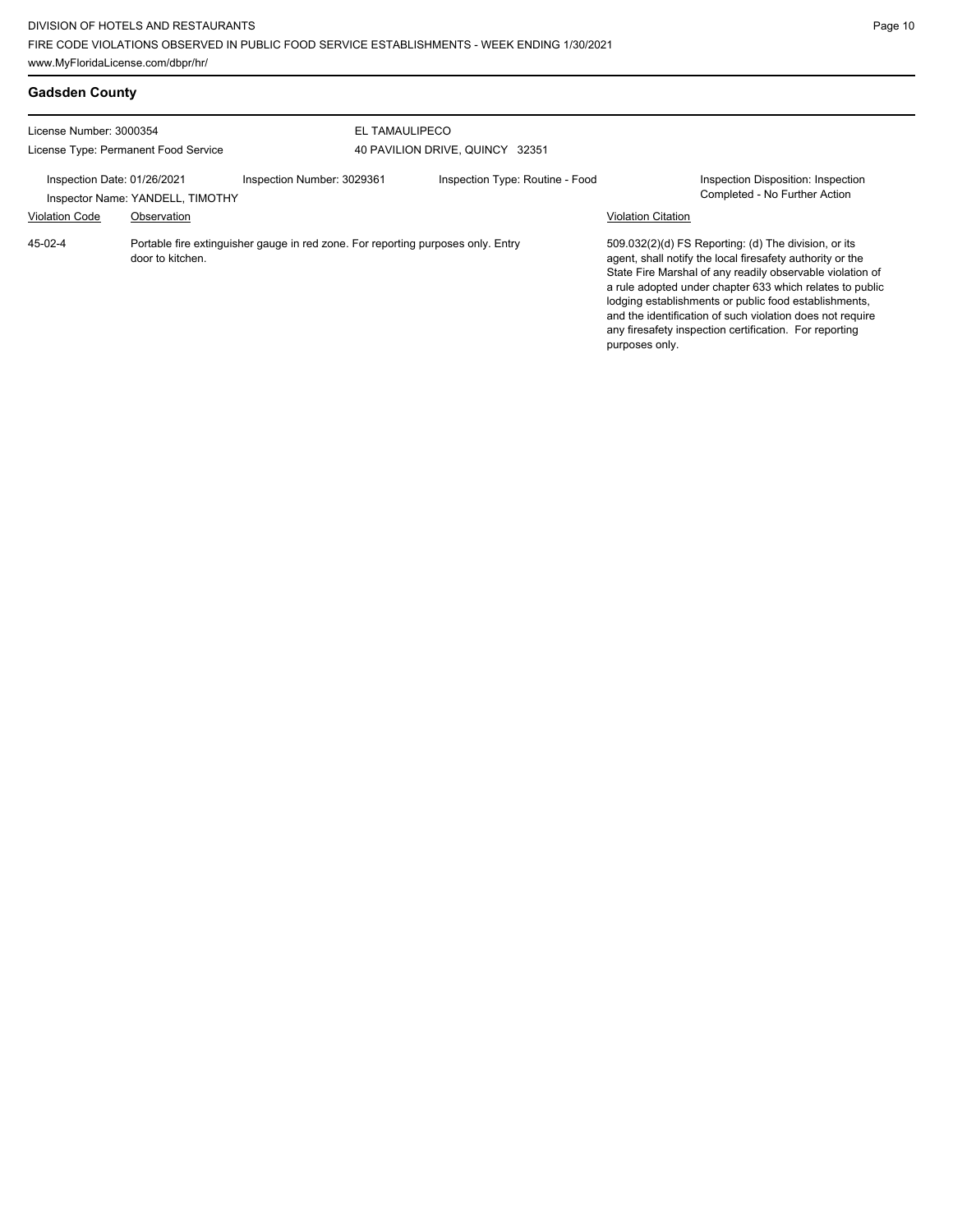| <b>Gadsden County</b>                                           |                                                 |                                                                                  |                                 |                           |                                                                                                                                                                                                                                                                                                                                                                                                                            |
|-----------------------------------------------------------------|-------------------------------------------------|----------------------------------------------------------------------------------|---------------------------------|---------------------------|----------------------------------------------------------------------------------------------------------------------------------------------------------------------------------------------------------------------------------------------------------------------------------------------------------------------------------------------------------------------------------------------------------------------------|
| License Number: 3000354<br>License Type: Permanent Food Service |                                                 | EL TAMAULIPECO<br>40 PAVILION DRIVE, QUINCY 32351                                |                                 |                           |                                                                                                                                                                                                                                                                                                                                                                                                                            |
| Inspection Date: 01/26/2021<br><b>Violation Code</b>            | Inspector Name: YANDELL, TIMOTHY<br>Observation | Inspection Number: 3029361                                                       | Inspection Type: Routine - Food | <b>Violation Citation</b> | <b>Inspection Disposition: Inspection</b><br>Completed - No Further Action                                                                                                                                                                                                                                                                                                                                                 |
| 45-02-4                                                         | door to kitchen.                                | Portable fire extinguisher gauge in red zone. For reporting purposes only. Entry |                                 | purposes only.            | 509.032(2)(d) FS Reporting: (d) The division, or its<br>agent, shall notify the local firesafety authority or the<br>State Fire Marshal of any readily observable violation of<br>a rule adopted under chapter 633 which relates to public<br>lodging establishments or public food establishments,<br>and the identification of such violation does not require<br>any firesafety inspection certification. For reporting |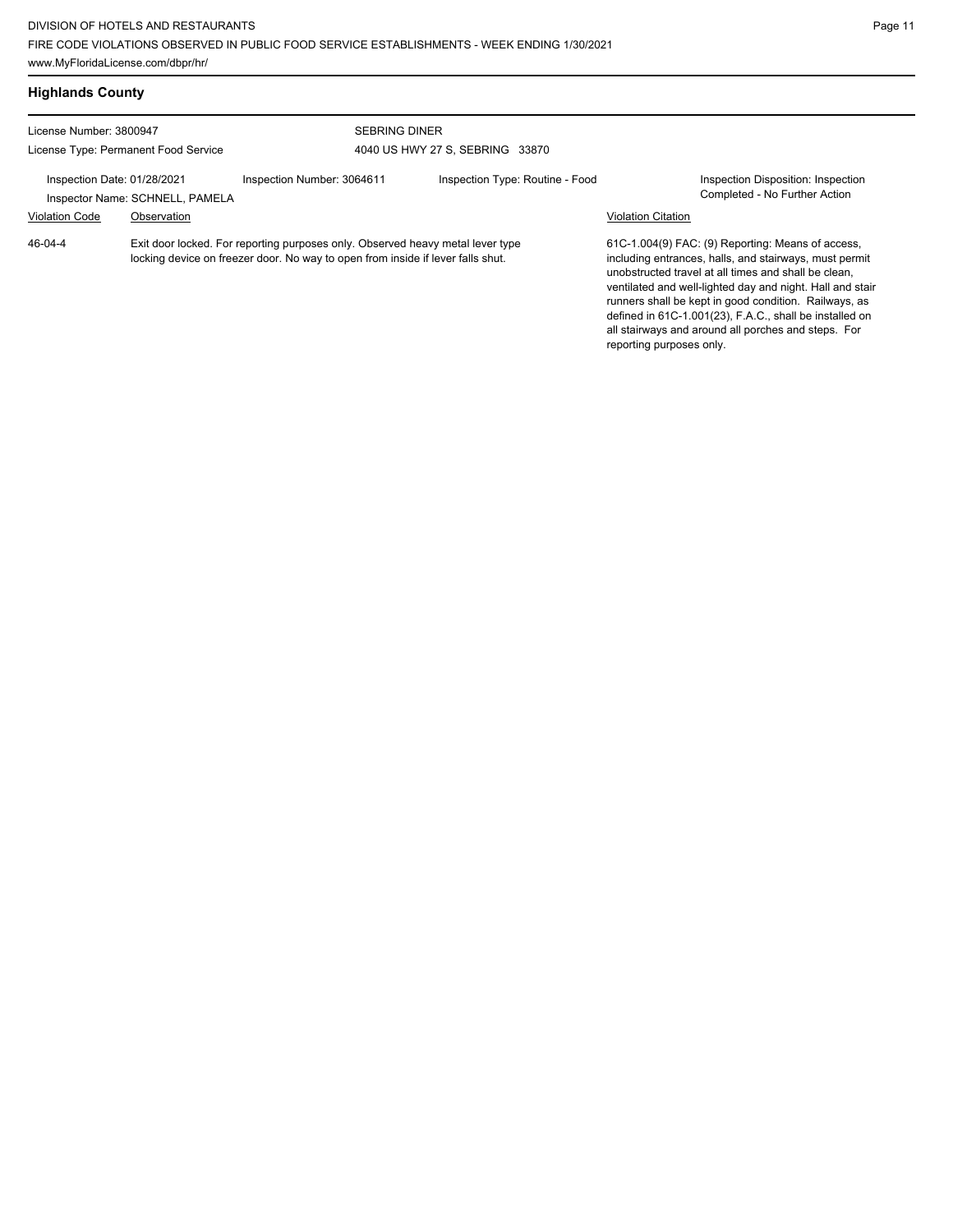| <b>Highlands County</b>                                         |                                                |                                                                                                                                                                   |                                                         |                           |                                                                                                                                                                                                                                                                                                                                                                                                             |
|-----------------------------------------------------------------|------------------------------------------------|-------------------------------------------------------------------------------------------------------------------------------------------------------------------|---------------------------------------------------------|---------------------------|-------------------------------------------------------------------------------------------------------------------------------------------------------------------------------------------------------------------------------------------------------------------------------------------------------------------------------------------------------------------------------------------------------------|
| License Number: 3800947<br>License Type: Permanent Food Service |                                                |                                                                                                                                                                   | <b>SEBRING DINER</b><br>4040 US HWY 27 S, SEBRING 33870 |                           |                                                                                                                                                                                                                                                                                                                                                                                                             |
| Inspection Date: 01/28/2021<br><b>Violation Code</b>            | Inspector Name: SCHNELL, PAMELA<br>Observation | Inspection Number: 3064611                                                                                                                                        | Inspection Type: Routine - Food                         | <b>Violation Citation</b> | Inspection Disposition: Inspection<br>Completed - No Further Action                                                                                                                                                                                                                                                                                                                                         |
| 46-04-4                                                         |                                                | Exit door locked. For reporting purposes only. Observed heavy metal lever type<br>locking device on freezer door. No way to open from inside if lever falls shut. |                                                         |                           | 61C-1.004(9) FAC: (9) Reporting: Means of access,<br>including entrances, halls, and stairways, must permit<br>unobstructed travel at all times and shall be clean,<br>ventilated and well-lighted day and night. Hall and stair<br>runners shall be kept in good condition. Railways, as<br>defined in 61C-1.001(23), F.A.C., shall be installed on<br>all stairways and around all porches and steps. For |

reporting purposes only.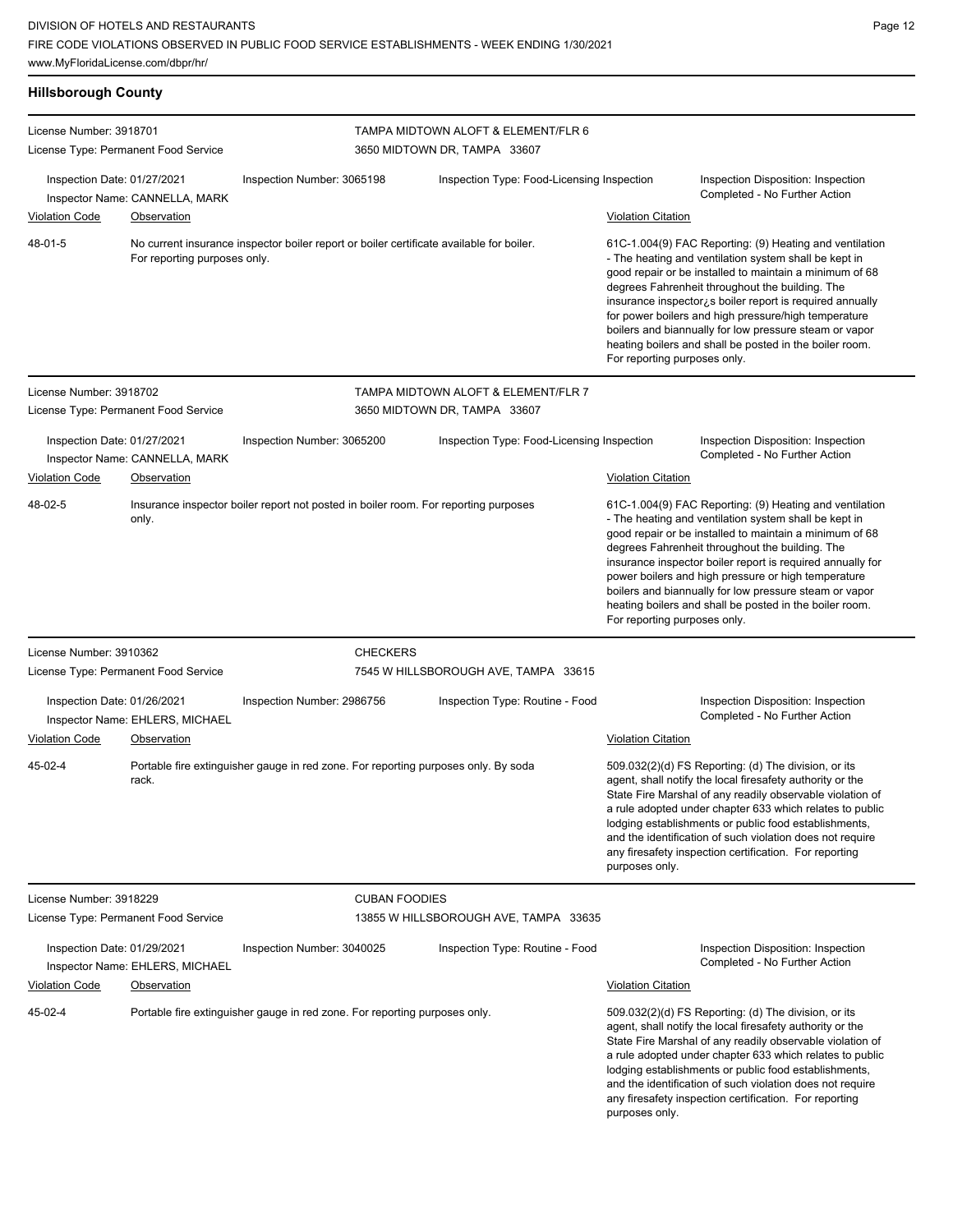| <b>Hillsborough County</b>                           |                                                |                                                                                          |                                                                     |                                                                                                                                                                                                                                                                                                                                                                                                                                                                                                          |                                                                                                                                                                                                                                                                                                                                                                                                                                                                          |
|------------------------------------------------------|------------------------------------------------|------------------------------------------------------------------------------------------|---------------------------------------------------------------------|----------------------------------------------------------------------------------------------------------------------------------------------------------------------------------------------------------------------------------------------------------------------------------------------------------------------------------------------------------------------------------------------------------------------------------------------------------------------------------------------------------|--------------------------------------------------------------------------------------------------------------------------------------------------------------------------------------------------------------------------------------------------------------------------------------------------------------------------------------------------------------------------------------------------------------------------------------------------------------------------|
| License Number: 3918701                              | License Type: Permanent Food Service           |                                                                                          | TAMPA MIDTOWN ALOFT & ELEMENT/FLR 6<br>3650 MIDTOWN DR, TAMPA 33607 |                                                                                                                                                                                                                                                                                                                                                                                                                                                                                                          |                                                                                                                                                                                                                                                                                                                                                                                                                                                                          |
| Inspection Date: 01/27/2021<br><b>Violation Code</b> | Inspector Name: CANNELLA, MARK<br>Observation  | Inspection Number: 3065198                                                               | Inspection Type: Food-Licensing Inspection                          | <b>Violation Citation</b>                                                                                                                                                                                                                                                                                                                                                                                                                                                                                | Inspection Disposition: Inspection<br>Completed - No Further Action                                                                                                                                                                                                                                                                                                                                                                                                      |
| 48-01-5                                              | For reporting purposes only.                   | No current insurance inspector boiler report or boiler certificate available for boiler. |                                                                     | 61C-1.004(9) FAC Reporting: (9) Heating and ventilation<br>- The heating and ventilation system shall be kept in<br>good repair or be installed to maintain a minimum of 68<br>degrees Fahrenheit throughout the building. The<br>insurance inspector; s boiler report is required annually<br>for power boilers and high pressure/high temperature<br>boilers and biannually for low pressure steam or vapor<br>heating boilers and shall be posted in the boiler room.<br>For reporting purposes only. |                                                                                                                                                                                                                                                                                                                                                                                                                                                                          |
| License Number: 3918702                              | License Type: Permanent Food Service           |                                                                                          | TAMPA MIDTOWN ALOFT & ELEMENT/FLR 7<br>3650 MIDTOWN DR, TAMPA 33607 |                                                                                                                                                                                                                                                                                                                                                                                                                                                                                                          |                                                                                                                                                                                                                                                                                                                                                                                                                                                                          |
| Inspection Date: 01/27/2021<br><b>Violation Code</b> | Inspector Name: CANNELLA, MARK<br>Observation  | Inspection Number: 3065200                                                               | Inspection Type: Food-Licensing Inspection                          | <b>Violation Citation</b>                                                                                                                                                                                                                                                                                                                                                                                                                                                                                | Inspection Disposition: Inspection<br>Completed - No Further Action                                                                                                                                                                                                                                                                                                                                                                                                      |
| 48-02-5                                              | only.                                          | Insurance inspector boiler report not posted in boiler room. For reporting purposes      |                                                                     | For reporting purposes only.                                                                                                                                                                                                                                                                                                                                                                                                                                                                             | 61C-1.004(9) FAC Reporting: (9) Heating and ventilation<br>- The heating and ventilation system shall be kept in<br>good repair or be installed to maintain a minimum of 68<br>degrees Fahrenheit throughout the building. The<br>insurance inspector boiler report is required annually for<br>power boilers and high pressure or high temperature<br>boilers and biannually for low pressure steam or vapor<br>heating boilers and shall be posted in the boiler room. |
| License Number: 3910362                              | License Type: Permanent Food Service           | <b>CHECKERS</b>                                                                          | 7545 W HILLSBOROUGH AVE, TAMPA 33615                                |                                                                                                                                                                                                                                                                                                                                                                                                                                                                                                          |                                                                                                                                                                                                                                                                                                                                                                                                                                                                          |
| Inspection Date: 01/26/2021<br><b>Violation Code</b> | Inspector Name: EHLERS, MICHAEL<br>Observation | Inspection Number: 2986756                                                               | Inspection Type: Routine - Food                                     | <b>Violation Citation</b>                                                                                                                                                                                                                                                                                                                                                                                                                                                                                | Inspection Disposition: Inspection<br>Completed - No Further Action                                                                                                                                                                                                                                                                                                                                                                                                      |
| 45-02-4                                              | rack.                                          | Portable fire extinguisher gauge in red zone. For reporting purposes only. By soda       |                                                                     | purposes only.                                                                                                                                                                                                                                                                                                                                                                                                                                                                                           | 509.032(2)(d) FS Reporting: (d) The division, or its<br>agent, shall notify the local firesafety authority or the<br>State Fire Marshal of any readily observable violation of<br>a rule adopted under chapter 633 which relates to public<br>lodging establishments or public food establishments,<br>and the identification of such violation does not require<br>any firesafety inspection certification. For reporting                                               |
| License Number: 3918229                              | License Type: Permanent Food Service           | <b>CUBAN FOODIES</b>                                                                     | 13855 W HILLSBOROUGH AVE, TAMPA 33635                               |                                                                                                                                                                                                                                                                                                                                                                                                                                                                                                          |                                                                                                                                                                                                                                                                                                                                                                                                                                                                          |
| Inspection Date: 01/29/2021                          | Inspector Name: EHLERS, MICHAEL                | Inspection Number: 3040025                                                               | Inspection Type: Routine - Food                                     |                                                                                                                                                                                                                                                                                                                                                                                                                                                                                                          | Inspection Disposition: Inspection<br>Completed - No Further Action                                                                                                                                                                                                                                                                                                                                                                                                      |
| <b>Violation Code</b><br>45-02-4                     | <b>Observation</b>                             | Portable fire extinguisher gauge in red zone. For reporting purposes only.               |                                                                     | <b>Violation Citation</b><br>purposes only.                                                                                                                                                                                                                                                                                                                                                                                                                                                              | 509.032(2)(d) FS Reporting: (d) The division, or its<br>agent, shall notify the local firesafety authority or the<br>State Fire Marshal of any readily observable violation of<br>a rule adopted under chapter 633 which relates to public<br>lodging establishments or public food establishments,<br>and the identification of such violation does not require<br>any firesafety inspection certification. For reporting                                               |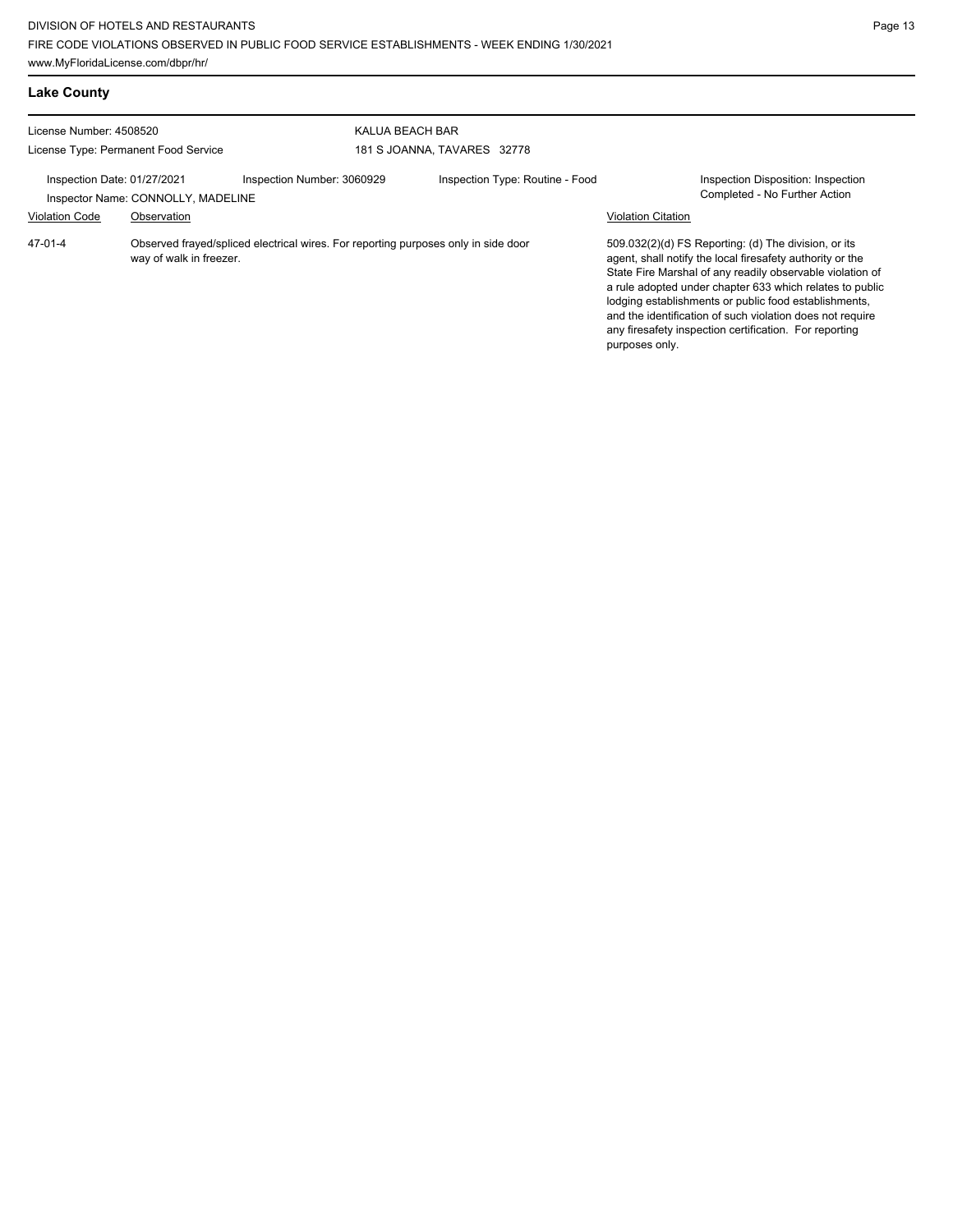| <b>Lake County</b>                                                                                                                                               |  |                            |                                                |                                                                                                                                                                                                                                                                                                                                                                                                                            |                                                                     |
|------------------------------------------------------------------------------------------------------------------------------------------------------------------|--|----------------------------|------------------------------------------------|----------------------------------------------------------------------------------------------------------------------------------------------------------------------------------------------------------------------------------------------------------------------------------------------------------------------------------------------------------------------------------------------------------------------------|---------------------------------------------------------------------|
| License Number: 4508520<br>License Type: Permanent Food Service                                                                                                  |  |                            | KALUA BEACH BAR<br>181 S JOANNA, TAVARES 32778 |                                                                                                                                                                                                                                                                                                                                                                                                                            |                                                                     |
| Inspection Date: 01/27/2021<br>Inspector Name: CONNOLLY, MADELINE                                                                                                |  | Inspection Number: 3060929 | Inspection Type: Routine - Food                | <b>Violation Citation</b>                                                                                                                                                                                                                                                                                                                                                                                                  | Inspection Disposition: Inspection<br>Completed - No Further Action |
| <b>Violation Code</b><br>Observation<br>47-01-4<br>Observed frayed/spliced electrical wires. For reporting purposes only in side door<br>way of walk in freezer. |  |                            | purposes only.                                 | 509.032(2)(d) FS Reporting: (d) The division, or its<br>agent, shall notify the local firesafety authority or the<br>State Fire Marshal of any readily observable violation of<br>a rule adopted under chapter 633 which relates to public<br>lodging establishments or public food establishments,<br>and the identification of such violation does not require<br>any firesafety inspection certification. For reporting |                                                                     |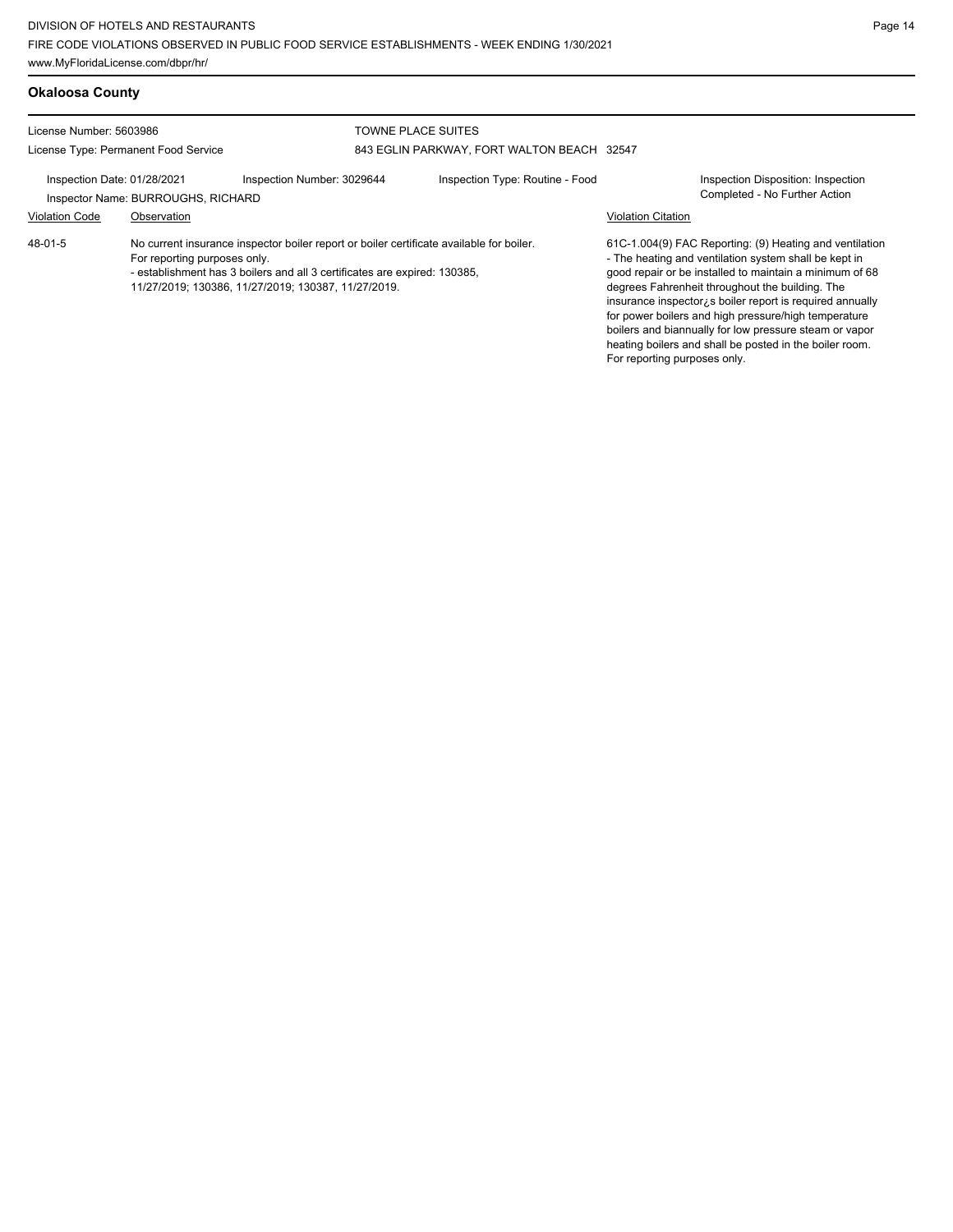| <b>Okaloosa County</b>                                          |                                                   |                                                                                                                                                                                                                              |                                                                         |                              |                                                                                                                                                                                                                                                                                                                                                                                                                                                                          |
|-----------------------------------------------------------------|---------------------------------------------------|------------------------------------------------------------------------------------------------------------------------------------------------------------------------------------------------------------------------------|-------------------------------------------------------------------------|------------------------------|--------------------------------------------------------------------------------------------------------------------------------------------------------------------------------------------------------------------------------------------------------------------------------------------------------------------------------------------------------------------------------------------------------------------------------------------------------------------------|
| License Number: 5603986<br>License Type: Permanent Food Service |                                                   |                                                                                                                                                                                                                              | <b>TOWNE PLACE SUITES</b><br>843 EGLIN PARKWAY, FORT WALTON BEACH 32547 |                              |                                                                                                                                                                                                                                                                                                                                                                                                                                                                          |
| Inspection Date: 01/28/2021<br><b>Violation Code</b>            | Inspector Name: BURROUGHS, RICHARD<br>Observation | Inspection Number: 3029644                                                                                                                                                                                                   | Inspection Type: Routine - Food                                         | <b>Violation Citation</b>    | Inspection Disposition: Inspection<br>Completed - No Further Action                                                                                                                                                                                                                                                                                                                                                                                                      |
| 48-01-5                                                         | For reporting purposes only.                      | No current insurance inspector boiler report or boiler certificate available for boiler.<br>- establishment has 3 boilers and all 3 certificates are expired: 130385,<br>11/27/2019; 130386, 11/27/2019; 130387, 11/27/2019. |                                                                         | For reporting purposes only. | 61C-1.004(9) FAC Reporting: (9) Heating and ventilation<br>- The heating and ventilation system shall be kept in<br>good repair or be installed to maintain a minimum of 68<br>degrees Fahrenheit throughout the building. The<br>insurance inspector; s boiler report is required annually<br>for power boilers and high pressure/high temperature<br>boilers and biannually for low pressure steam or vapor<br>heating boilers and shall be posted in the boiler room. |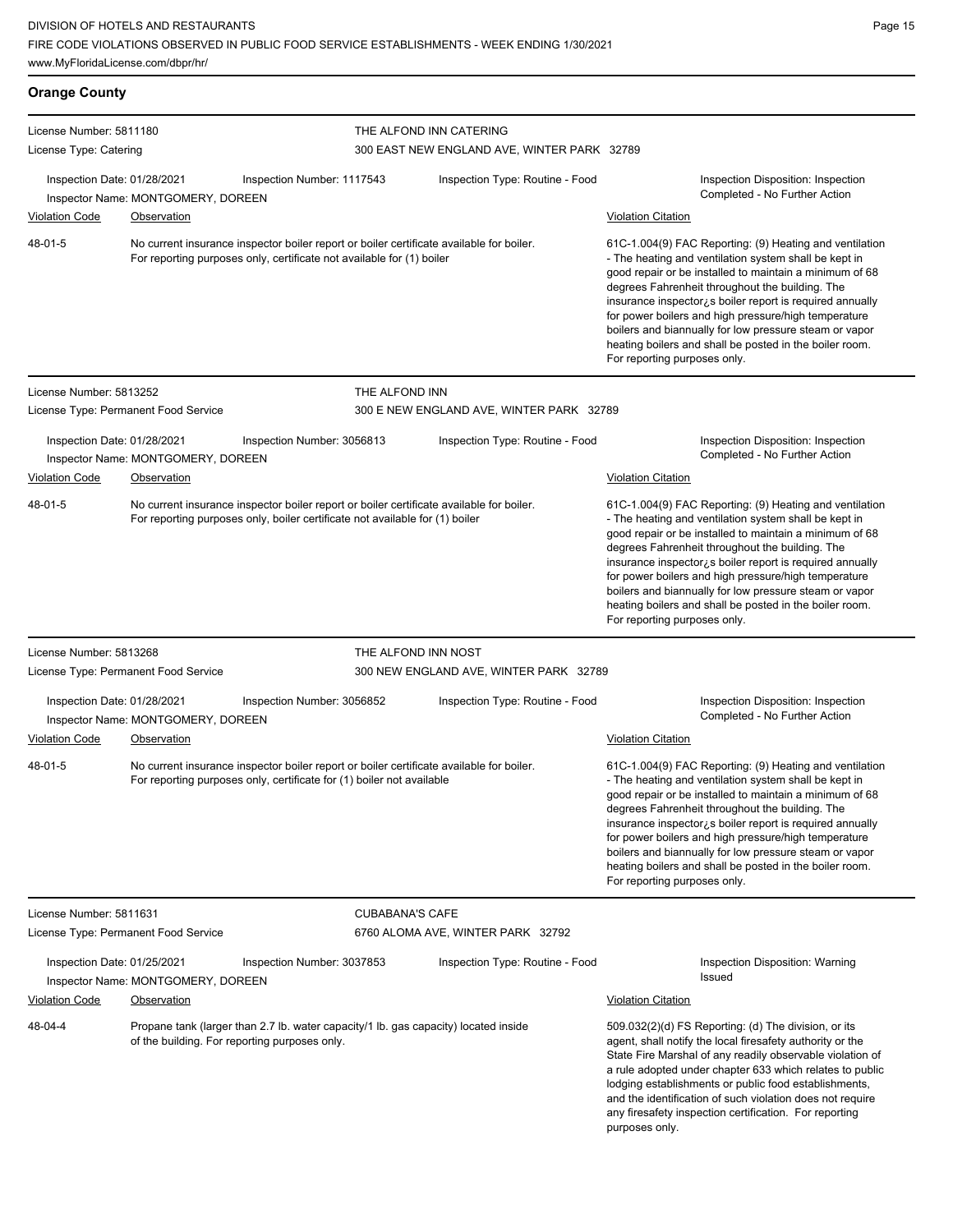| <b>Orange County</b>                                              |                                      |                                                                                                                                                                          |                                                                        |                                                                                                                                                                                                                                                                                                                                                                                                                                                                                                                   |  |
|-------------------------------------------------------------------|--------------------------------------|--------------------------------------------------------------------------------------------------------------------------------------------------------------------------|------------------------------------------------------------------------|-------------------------------------------------------------------------------------------------------------------------------------------------------------------------------------------------------------------------------------------------------------------------------------------------------------------------------------------------------------------------------------------------------------------------------------------------------------------------------------------------------------------|--|
| License Number: 5811180<br>License Type: Catering                 |                                      |                                                                                                                                                                          | THE ALFOND INN CATERING<br>300 EAST NEW ENGLAND AVE, WINTER PARK 32789 |                                                                                                                                                                                                                                                                                                                                                                                                                                                                                                                   |  |
| Inspection Date: 01/28/2021                                       | Inspector Name: MONTGOMERY, DOREEN   | Inspection Number: 1117543                                                                                                                                               | Inspection Type: Routine - Food                                        | Inspection Disposition: Inspection<br>Completed - No Further Action                                                                                                                                                                                                                                                                                                                                                                                                                                               |  |
| <b>Violation Code</b>                                             | Observation                          |                                                                                                                                                                          |                                                                        | <b>Violation Citation</b>                                                                                                                                                                                                                                                                                                                                                                                                                                                                                         |  |
| 48-01-5                                                           |                                      | No current insurance inspector boiler report or boiler certificate available for boiler.<br>For reporting purposes only, certificate not available for (1) boiler        |                                                                        | 61C-1.004(9) FAC Reporting: (9) Heating and ventilation<br>- The heating and ventilation system shall be kept in<br>good repair or be installed to maintain a minimum of 68<br>degrees Fahrenheit throughout the building. The<br>insurance inspector $\lambda$ s boiler report is required annually<br>for power boilers and high pressure/high temperature<br>boilers and biannually for low pressure steam or vapor<br>heating boilers and shall be posted in the boiler room.<br>For reporting purposes only. |  |
| License Number: 5813252                                           |                                      | THE ALFOND INN                                                                                                                                                           |                                                                        |                                                                                                                                                                                                                                                                                                                                                                                                                                                                                                                   |  |
|                                                                   | License Type: Permanent Food Service |                                                                                                                                                                          | 300 E NEW ENGLAND AVE, WINTER PARK 32789                               |                                                                                                                                                                                                                                                                                                                                                                                                                                                                                                                   |  |
| Inspection Date: 01/28/2021                                       | Inspector Name: MONTGOMERY, DOREEN   | Inspection Number: 3056813                                                                                                                                               | Inspection Type: Routine - Food                                        | Inspection Disposition: Inspection<br>Completed - No Further Action                                                                                                                                                                                                                                                                                                                                                                                                                                               |  |
| <b>Violation Code</b>                                             | Observation                          |                                                                                                                                                                          |                                                                        | <b>Violation Citation</b>                                                                                                                                                                                                                                                                                                                                                                                                                                                                                         |  |
| 48-01-5                                                           |                                      | No current insurance inspector boiler report or boiler certificate available for boiler.<br>For reporting purposes only, boiler certificate not available for (1) boiler |                                                                        | 61C-1.004(9) FAC Reporting: (9) Heating and ventilation<br>- The heating and ventilation system shall be kept in<br>good repair or be installed to maintain a minimum of 68<br>degrees Fahrenheit throughout the building. The<br>insurance inspector is boiler report is required annually<br>for power boilers and high pressure/high temperature<br>boilers and biannually for low pressure steam or vapor<br>heating boilers and shall be posted in the boiler room.<br>For reporting purposes only.          |  |
| License Number: 5813268                                           |                                      | THE ALFOND INN NOST                                                                                                                                                      |                                                                        |                                                                                                                                                                                                                                                                                                                                                                                                                                                                                                                   |  |
|                                                                   | License Type: Permanent Food Service |                                                                                                                                                                          | 300 NEW ENGLAND AVE, WINTER PARK 32789                                 |                                                                                                                                                                                                                                                                                                                                                                                                                                                                                                                   |  |
| Inspection Date: 01/28/2021                                       | Inspector Name: MONTGOMERY, DOREEN   | Inspection Number: 3056852                                                                                                                                               | Inspection Type: Routine - Food                                        | Inspection Disposition: Inspection<br>Completed - No Further Action                                                                                                                                                                                                                                                                                                                                                                                                                                               |  |
| <b>Violation Code</b>                                             | Observation                          |                                                                                                                                                                          |                                                                        | <b>Violation Citation</b>                                                                                                                                                                                                                                                                                                                                                                                                                                                                                         |  |
| 48-01-5                                                           |                                      | No current insurance inspector boiler report or boiler certificate available for boiler.<br>For reporting purposes only, certificate for (1) boiler not available        |                                                                        | 61C-1.004(9) FAC Reporting: (9) Heating and ventilation<br>- The heating and ventilation system shall be kept in<br>good repair or be installed to maintain a minimum of 68<br>degrees Fahrenheit throughout the building. The<br>insurance inspector is boiler report is required annually<br>for power boilers and high pressure/high temperature<br>boilers and biannually for low pressure steam or vapor<br>heating boilers and shall be posted in the boiler room.<br>For reporting purposes only.          |  |
| License Number: 5811631                                           |                                      | <b>CUBABANA'S CAFE</b>                                                                                                                                                   |                                                                        |                                                                                                                                                                                                                                                                                                                                                                                                                                                                                                                   |  |
| License Type: Permanent Food Service                              |                                      |                                                                                                                                                                          | 6760 ALOMA AVE, WINTER PARK 32792                                      |                                                                                                                                                                                                                                                                                                                                                                                                                                                                                                                   |  |
| Inspection Date: 01/25/2021<br>Inspector Name: MONTGOMERY, DOREEN |                                      | Inspection Number: 3037853                                                                                                                                               | Inspection Type: Routine - Food                                        | Inspection Disposition: Warning<br>Issued                                                                                                                                                                                                                                                                                                                                                                                                                                                                         |  |
| <b>Violation Code</b>                                             | <b>Observation</b>                   |                                                                                                                                                                          |                                                                        | <b>Violation Citation</b>                                                                                                                                                                                                                                                                                                                                                                                                                                                                                         |  |
| 48-04-4<br>of the building. For reporting purposes only.          |                                      | Propane tank (larger than 2.7 lb. water capacity/1 lb. gas capacity) located inside                                                                                      |                                                                        | 509.032(2)(d) FS Reporting: (d) The division, or its<br>agent, shall notify the local firesafety authority or the<br>State Fire Marshal of any readily observable violation of<br>a rule adopted under chapter 633 which relates to public<br>lodging establishments or public food establishments,<br>and the identification of such violation does not require<br>any firesafety inspection certification. For reporting<br>purposes only.                                                                      |  |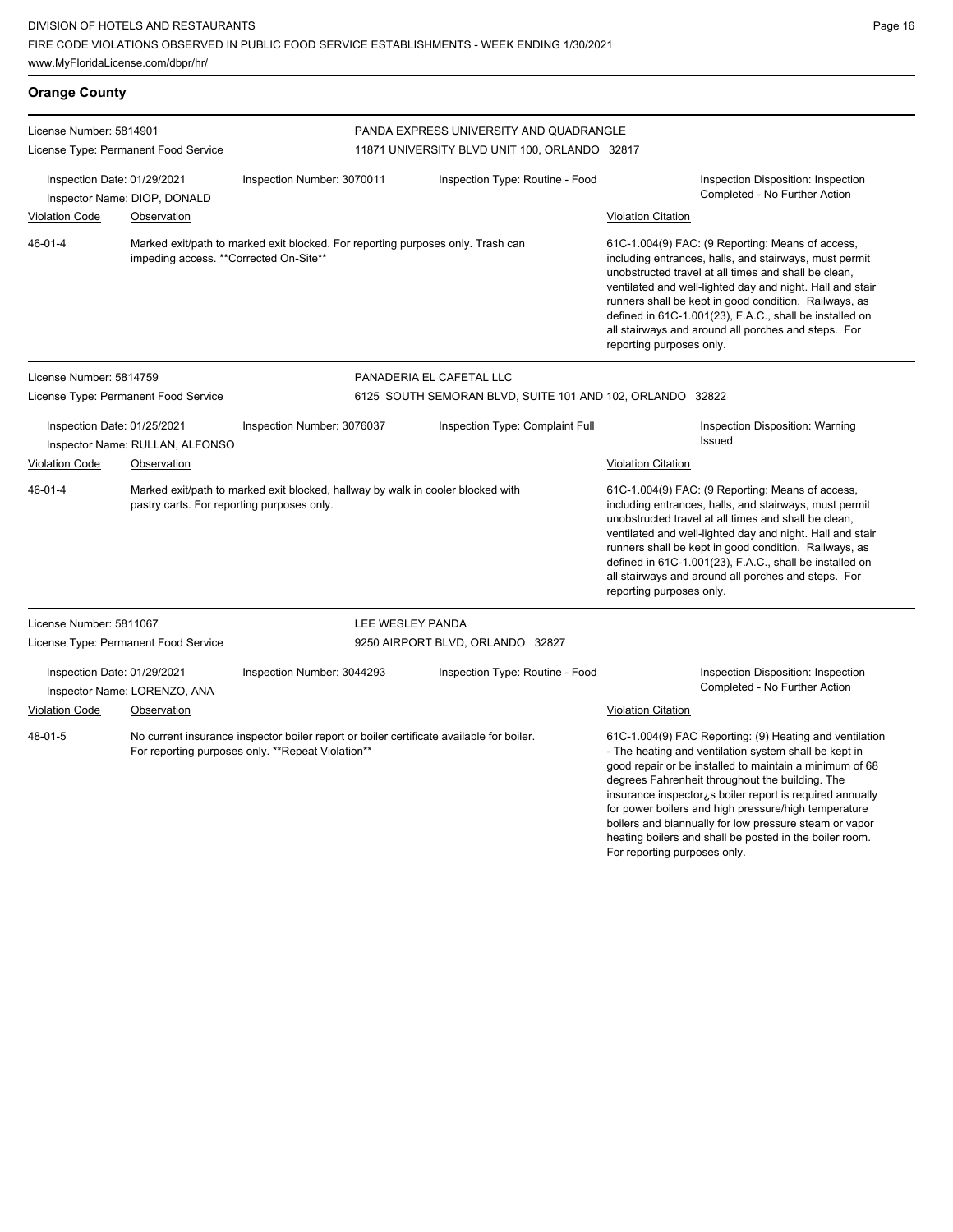| <b>Orange County</b>        |                                            |                                                                                                                                               |                                                           |                                                                                                                                                                                                                                                                                                                                                                                                                                                                                                         |  |  |
|-----------------------------|--------------------------------------------|-----------------------------------------------------------------------------------------------------------------------------------------------|-----------------------------------------------------------|---------------------------------------------------------------------------------------------------------------------------------------------------------------------------------------------------------------------------------------------------------------------------------------------------------------------------------------------------------------------------------------------------------------------------------------------------------------------------------------------------------|--|--|
| License Number: 5814901     |                                            |                                                                                                                                               | PANDA EXPRESS UNIVERSITY AND QUADRANGLE                   |                                                                                                                                                                                                                                                                                                                                                                                                                                                                                                         |  |  |
|                             | License Type: Permanent Food Service       |                                                                                                                                               | 11871 UNIVERSITY BLVD UNIT 100, ORLANDO 32817             |                                                                                                                                                                                                                                                                                                                                                                                                                                                                                                         |  |  |
| Inspection Date: 01/29/2021 | Inspector Name: DIOP, DONALD               | Inspection Number: 3070011                                                                                                                    | Inspection Type: Routine - Food                           | Inspection Disposition: Inspection<br>Completed - No Further Action                                                                                                                                                                                                                                                                                                                                                                                                                                     |  |  |
| <b>Violation Code</b>       | Observation                                |                                                                                                                                               |                                                           | <b>Violation Citation</b>                                                                                                                                                                                                                                                                                                                                                                                                                                                                               |  |  |
| $46 - 01 - 4$               | impeding access. **Corrected On-Site**     | Marked exit/path to marked exit blocked. For reporting purposes only. Trash can                                                               |                                                           | 61C-1.004(9) FAC: (9 Reporting: Means of access,<br>including entrances, halls, and stairways, must permit<br>unobstructed travel at all times and shall be clean,<br>ventilated and well-lighted day and night. Hall and stair<br>runners shall be kept in good condition. Railways, as<br>defined in 61C-1.001(23), F.A.C., shall be installed on<br>all stairways and around all porches and steps. For<br>reporting purposes only.                                                                  |  |  |
| License Number: 5814759     |                                            |                                                                                                                                               | PANADERIA EL CAFETAL LLC                                  |                                                                                                                                                                                                                                                                                                                                                                                                                                                                                                         |  |  |
|                             | License Type: Permanent Food Service       |                                                                                                                                               | 6125 SOUTH SEMORAN BLVD, SUITE 101 AND 102, ORLANDO 32822 |                                                                                                                                                                                                                                                                                                                                                                                                                                                                                                         |  |  |
| Inspection Date: 01/25/2021 | Inspector Name: RULLAN, ALFONSO            | Inspection Number: 3076037                                                                                                                    | Inspection Type: Complaint Full                           | Inspection Disposition: Warning<br>Issued                                                                                                                                                                                                                                                                                                                                                                                                                                                               |  |  |
| <b>Violation Code</b>       | Observation                                |                                                                                                                                               |                                                           | Violation Citation                                                                                                                                                                                                                                                                                                                                                                                                                                                                                      |  |  |
| $46 - 01 - 4$               | pastry carts. For reporting purposes only. | Marked exit/path to marked exit blocked, hallway by walk in cooler blocked with                                                               |                                                           | 61C-1.004(9) FAC: (9 Reporting: Means of access,<br>including entrances, halls, and stairways, must permit<br>unobstructed travel at all times and shall be clean,<br>ventilated and well-lighted day and night. Hall and stair<br>runners shall be kept in good condition. Railways, as<br>defined in 61C-1.001(23), F.A.C., shall be installed on<br>all stairways and around all porches and steps. For<br>reporting purposes only.                                                                  |  |  |
| License Number: 5811067     |                                            | LEE WESLEY PANDA                                                                                                                              |                                                           |                                                                                                                                                                                                                                                                                                                                                                                                                                                                                                         |  |  |
|                             | License Type: Permanent Food Service       |                                                                                                                                               | 9250 AIRPORT BLVD, ORLANDO 32827                          |                                                                                                                                                                                                                                                                                                                                                                                                                                                                                                         |  |  |
| Inspection Date: 01/29/2021 | Inspector Name: LORENZO, ANA               | Inspection Number: 3044293                                                                                                                    | Inspection Type: Routine - Food                           | Inspection Disposition: Inspection<br>Completed - No Further Action                                                                                                                                                                                                                                                                                                                                                                                                                                     |  |  |
| <b>Violation Code</b>       | Observation                                |                                                                                                                                               |                                                           | Violation Citation                                                                                                                                                                                                                                                                                                                                                                                                                                                                                      |  |  |
| 48-01-5                     |                                            | No current insurance inspector boiler report or boiler certificate available for boiler.<br>For reporting purposes only. **Repeat Violation** |                                                           | 61C-1.004(9) FAC Reporting: (9) Heating and ventilation<br>- The heating and ventilation system shall be kept in<br>good repair or be installed to maintain a minimum of 68<br>degrees Fahrenheit throughout the building. The<br>insurance inspector¿s boiler report is required annually<br>for power boilers and high pressure/high temperature<br>boilers and biannually for low pressure steam or vapor<br>heating boilers and shall be posted in the boiler room.<br>For reporting purposes only. |  |  |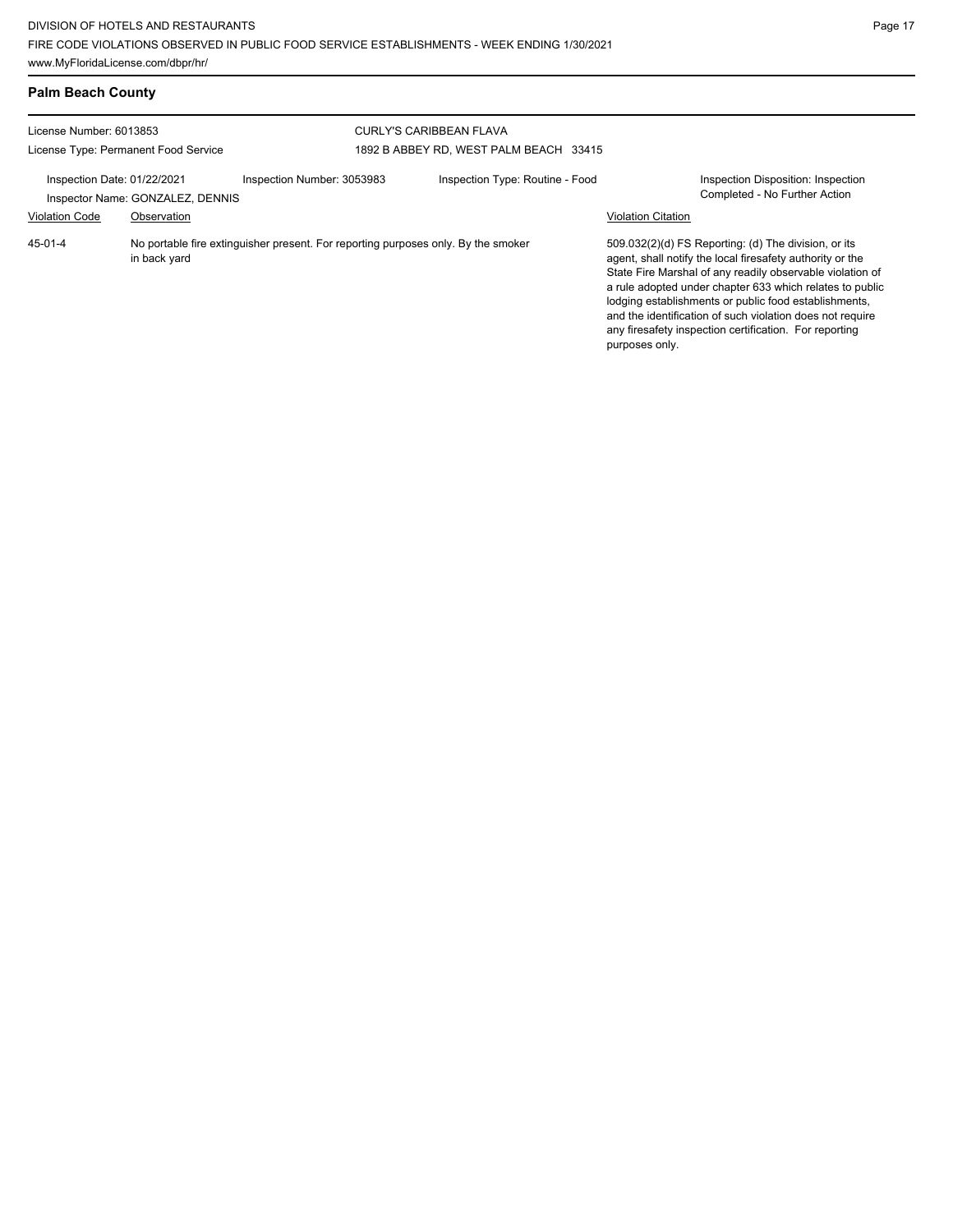| <b>Palm Beach County</b>                                        |                                                 |                                                                                   |                                                                          |                           |                                                                                                                                                                                                                                                                                                                                                                                                                            |
|-----------------------------------------------------------------|-------------------------------------------------|-----------------------------------------------------------------------------------|--------------------------------------------------------------------------|---------------------------|----------------------------------------------------------------------------------------------------------------------------------------------------------------------------------------------------------------------------------------------------------------------------------------------------------------------------------------------------------------------------------------------------------------------------|
| License Number: 6013853<br>License Type: Permanent Food Service |                                                 |                                                                                   | <b>CURLY'S CARIBBEAN FLAVA</b><br>1892 B ABBEY RD, WEST PALM BEACH 33415 |                           |                                                                                                                                                                                                                                                                                                                                                                                                                            |
| Inspection Date: 01/22/2021<br><b>Violation Code</b>            | Inspector Name: GONZALEZ, DENNIS<br>Observation | Inspection Number: 3053983                                                        | Inspection Type: Routine - Food                                          | <b>Violation Citation</b> | <b>Inspection Disposition: Inspection</b><br>Completed - No Further Action                                                                                                                                                                                                                                                                                                                                                 |
| $45 - 01 - 4$                                                   | in back yard                                    | No portable fire extinguisher present. For reporting purposes only. By the smoker |                                                                          | purposes only.            | 509.032(2)(d) FS Reporting: (d) The division, or its<br>agent, shall notify the local firesafety authority or the<br>State Fire Marshal of any readily observable violation of<br>a rule adopted under chapter 633 which relates to public<br>lodging establishments or public food establishments,<br>and the identification of such violation does not require<br>any firesafety inspection certification. For reporting |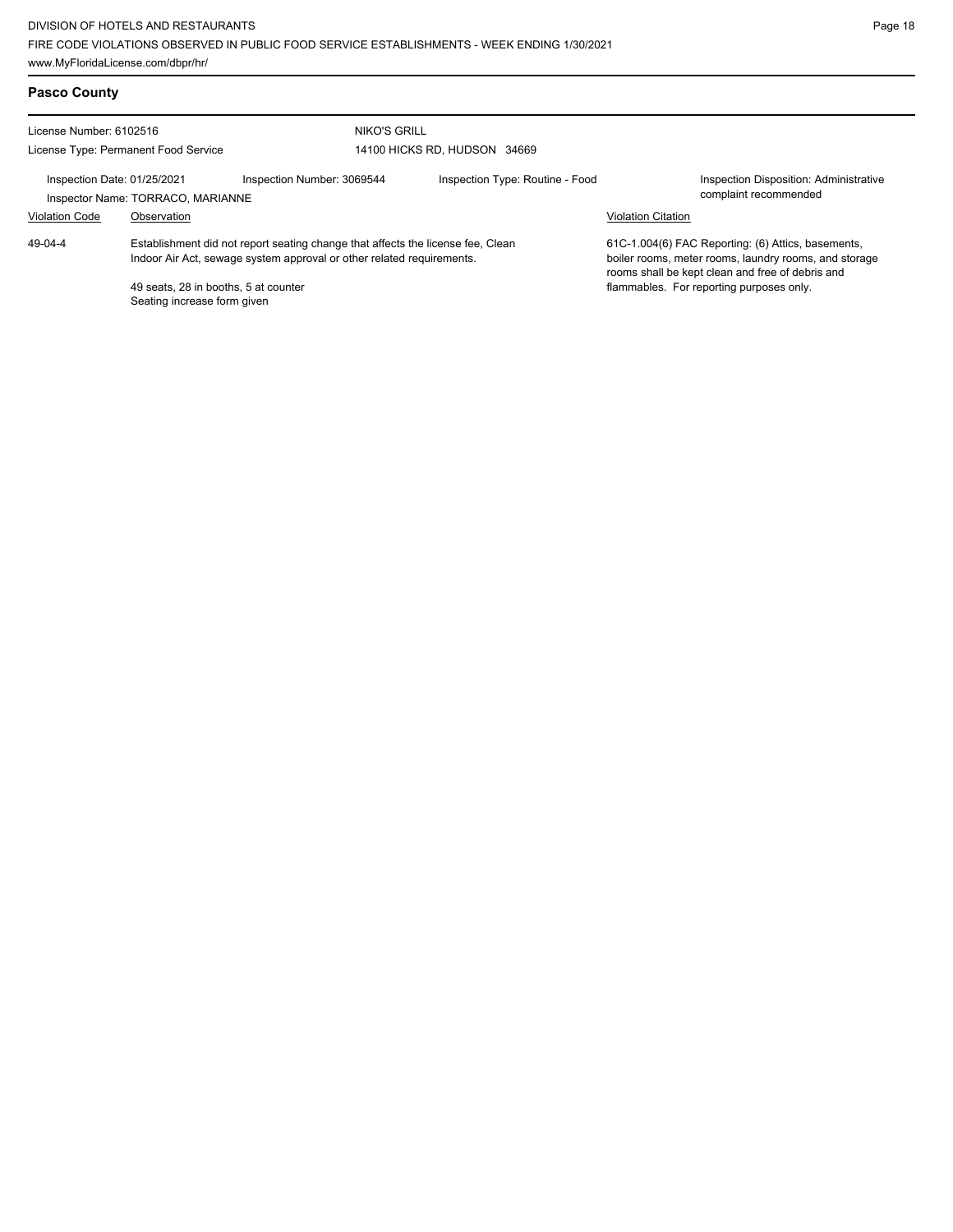## **Pasco County**

| License Number: 6102516                                          |                                                                                                                                                                                                                                 | NIKO'S GRILL               |                                 |                           |                                                                                                                                                                                                             |  |
|------------------------------------------------------------------|---------------------------------------------------------------------------------------------------------------------------------------------------------------------------------------------------------------------------------|----------------------------|---------------------------------|---------------------------|-------------------------------------------------------------------------------------------------------------------------------------------------------------------------------------------------------------|--|
|                                                                  | License Type: Permanent Food Service                                                                                                                                                                                            |                            | 14100 HICKS RD. HUDSON 34669    |                           |                                                                                                                                                                                                             |  |
| Inspection Date: 01/25/2021<br>Inspector Name: TORRACO, MARIANNE |                                                                                                                                                                                                                                 | Inspection Number: 3069544 | Inspection Type: Routine - Food |                           | Inspection Disposition: Administrative<br>complaint recommended                                                                                                                                             |  |
| <b>Violation Code</b>                                            | Observation                                                                                                                                                                                                                     |                            |                                 | <b>Violation Citation</b> |                                                                                                                                                                                                             |  |
| 49-04-4                                                          | Establishment did not report seating change that affects the license fee. Clean<br>Indoor Air Act, sewage system approval or other related requirements.<br>49 seats, 28 in booths, 5 at counter<br>Seating increase form given |                            |                                 |                           | 61C-1.004(6) FAC Reporting: (6) Attics, basements,<br>boiler rooms, meter rooms, laundry rooms, and storage<br>rooms shall be kept clean and free of debris and<br>flammables. For reporting purposes only. |  |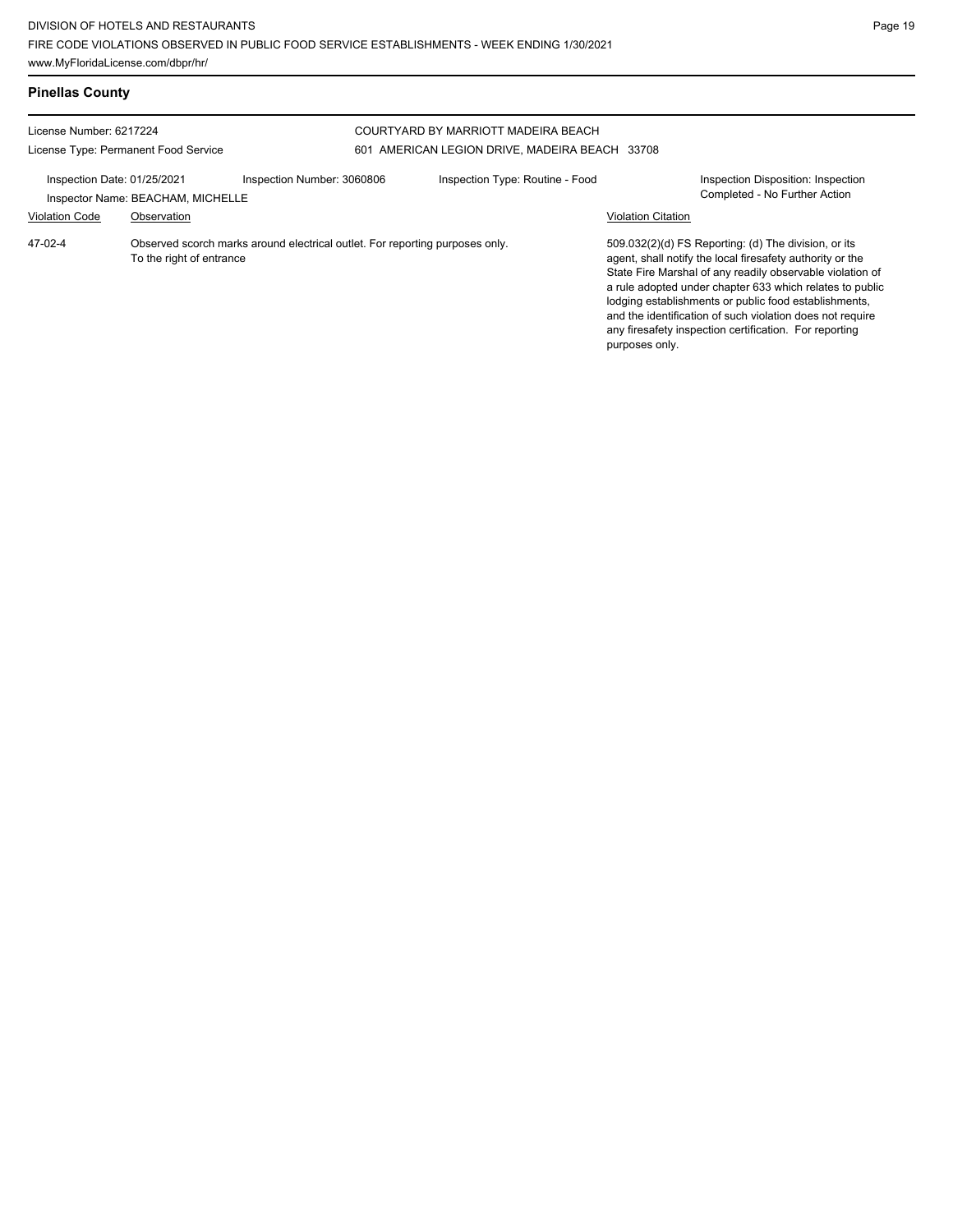| <b>Pinellas County</b>                                          |                                                  |                                                                              |                                                                                       |                           |                                                                                                                                                                                                                                                                                                                                                                                                                            |
|-----------------------------------------------------------------|--------------------------------------------------|------------------------------------------------------------------------------|---------------------------------------------------------------------------------------|---------------------------|----------------------------------------------------------------------------------------------------------------------------------------------------------------------------------------------------------------------------------------------------------------------------------------------------------------------------------------------------------------------------------------------------------------------------|
| License Number: 6217224<br>License Type: Permanent Food Service |                                                  |                                                                              | COURTYARD BY MARRIOTT MADEIRA BEACH<br>601 AMERICAN LEGION DRIVE, MADEIRA BEACH 33708 |                           |                                                                                                                                                                                                                                                                                                                                                                                                                            |
| Inspection Date: 01/25/2021<br><b>Violation Code</b>            | Inspector Name: BEACHAM, MICHELLE<br>Observation | Inspection Number: 3060806                                                   | Inspection Type: Routine - Food                                                       | <b>Violation Citation</b> | <b>Inspection Disposition: Inspection</b><br>Completed - No Further Action                                                                                                                                                                                                                                                                                                                                                 |
| $47-02-4$                                                       | To the right of entrance                         | Observed scorch marks around electrical outlet. For reporting purposes only. |                                                                                       | purposes only.            | 509.032(2)(d) FS Reporting: (d) The division, or its<br>agent, shall notify the local firesafety authority or the<br>State Fire Marshal of any readily observable violation of<br>a rule adopted under chapter 633 which relates to public<br>lodging establishments or public food establishments,<br>and the identification of such violation does not require<br>any firesafety inspection certification. For reporting |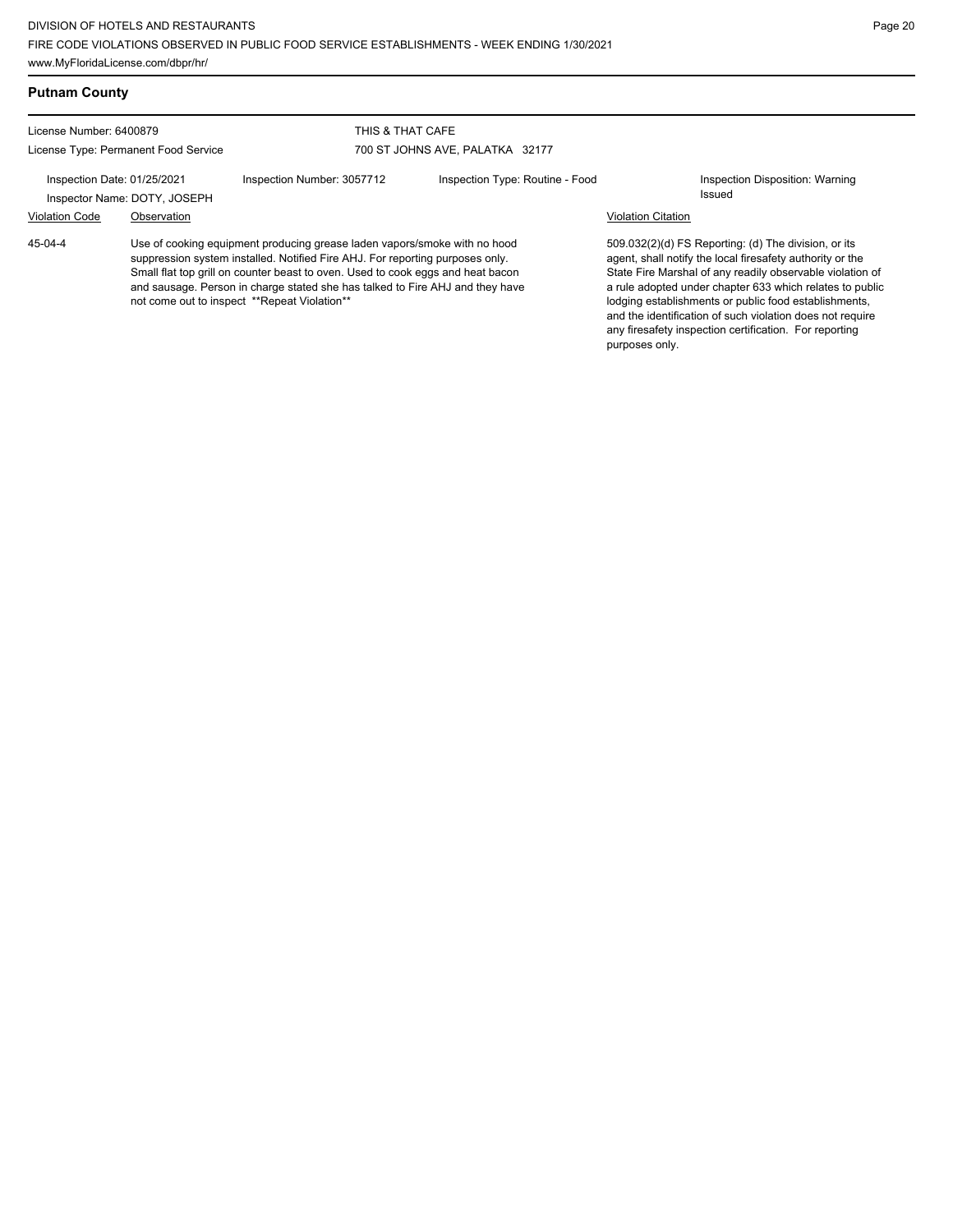| <b>Putnam County</b>                                                                                                                                                                                                                                                                                                                                                                      |                                             |                            |                                 |                                                                                                                                                                                                                                                                                                                                                                                                                            |                                           |
|-------------------------------------------------------------------------------------------------------------------------------------------------------------------------------------------------------------------------------------------------------------------------------------------------------------------------------------------------------------------------------------------|---------------------------------------------|----------------------------|---------------------------------|----------------------------------------------------------------------------------------------------------------------------------------------------------------------------------------------------------------------------------------------------------------------------------------------------------------------------------------------------------------------------------------------------------------------------|-------------------------------------------|
| License Number: 6400879<br>License Type: Permanent Food Service                                                                                                                                                                                                                                                                                                                           |                                             | THIS & THAT CAFE           | 700 ST JOHNS AVE, PALATKA 32177 |                                                                                                                                                                                                                                                                                                                                                                                                                            |                                           |
| Inspection Date: 01/25/2021<br><b>Violation Code</b>                                                                                                                                                                                                                                                                                                                                      | Inspector Name: DOTY, JOSEPH<br>Observation | Inspection Number: 3057712 | Inspection Type: Routine - Food | <b>Violation Citation</b>                                                                                                                                                                                                                                                                                                                                                                                                  | Inspection Disposition: Warning<br>Issued |
| 45-04-4<br>Use of cooking equipment producing grease laden vapors/smoke with no hood<br>suppression system installed. Notified Fire AHJ. For reporting purposes only.<br>Small flat top grill on counter beast to oven. Used to cook eggs and heat bacon<br>and sausage. Person in charge stated she has talked to Fire AHJ and they have<br>not come out to inspect **Repeat Violation** |                                             |                            | purposes only.                  | 509.032(2)(d) FS Reporting: (d) The division, or its<br>agent, shall notify the local firesafety authority or the<br>State Fire Marshal of any readily observable violation of<br>a rule adopted under chapter 633 which relates to public<br>lodging establishments or public food establishments,<br>and the identification of such violation does not require<br>any firesafety inspection certification. For reporting |                                           |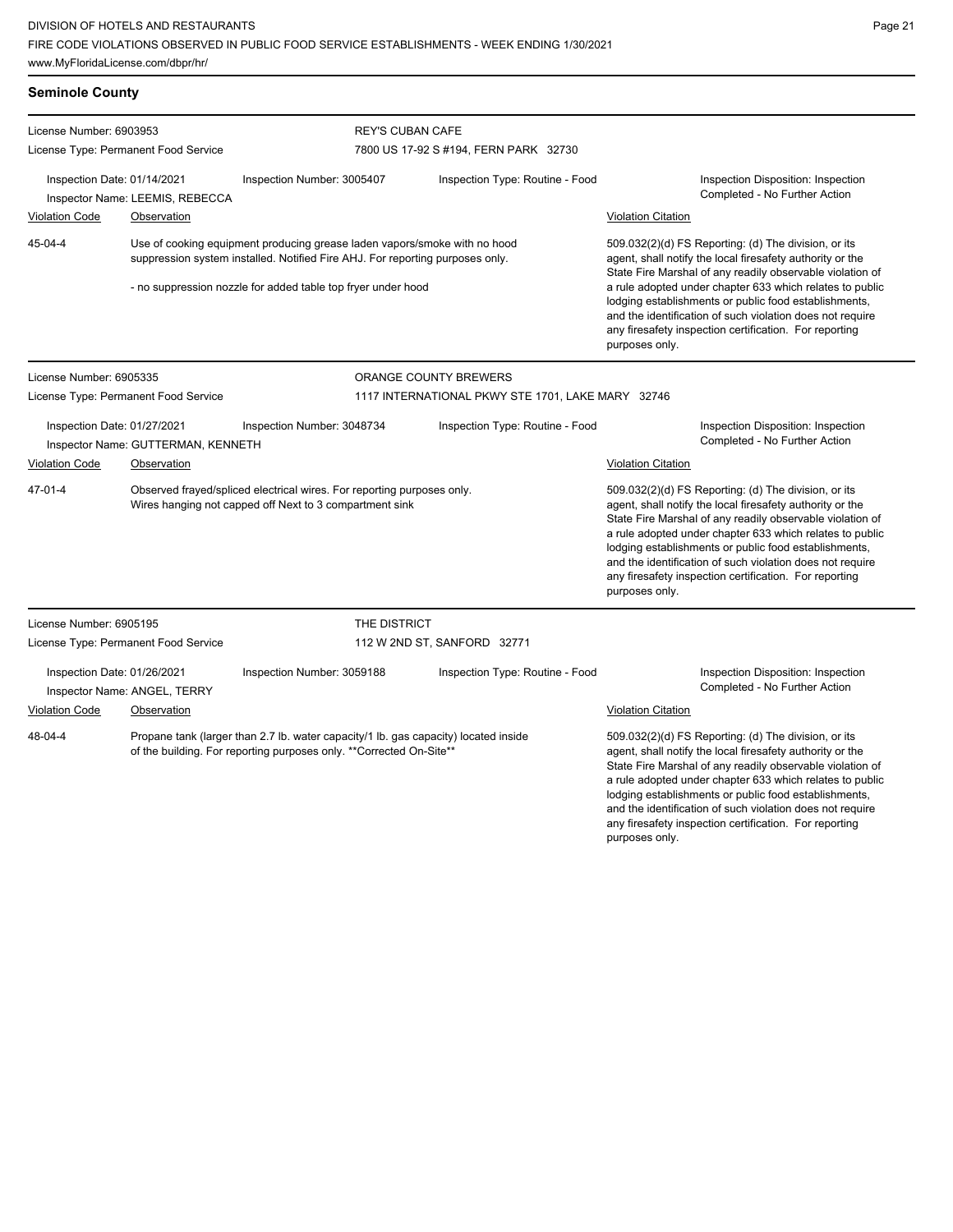| <b>Seminole County</b>                                                                                                                                                                                                                                  |                                      |                                                                                                                                                            |                                                                                                                                                                                                                                                                                                                                                                                                                            |                                                                                                                                                                                                                                                                                                                                                                                                                                              |
|---------------------------------------------------------------------------------------------------------------------------------------------------------------------------------------------------------------------------------------------------------|--------------------------------------|------------------------------------------------------------------------------------------------------------------------------------------------------------|----------------------------------------------------------------------------------------------------------------------------------------------------------------------------------------------------------------------------------------------------------------------------------------------------------------------------------------------------------------------------------------------------------------------------|----------------------------------------------------------------------------------------------------------------------------------------------------------------------------------------------------------------------------------------------------------------------------------------------------------------------------------------------------------------------------------------------------------------------------------------------|
| License Number: 6903953                                                                                                                                                                                                                                 |                                      |                                                                                                                                                            | <b>REY'S CUBAN CAFE</b>                                                                                                                                                                                                                                                                                                                                                                                                    |                                                                                                                                                                                                                                                                                                                                                                                                                                              |
|                                                                                                                                                                                                                                                         | License Type: Permanent Food Service |                                                                                                                                                            | 7800 US 17-92 S #194, FERN PARK 32730                                                                                                                                                                                                                                                                                                                                                                                      |                                                                                                                                                                                                                                                                                                                                                                                                                                              |
| Inspection Date: 01/14/2021                                                                                                                                                                                                                             | Inspector Name: LEEMIS, REBECCA      | Inspection Number: 3005407                                                                                                                                 | Inspection Type: Routine - Food                                                                                                                                                                                                                                                                                                                                                                                            | Inspection Disposition: Inspection<br>Completed - No Further Action                                                                                                                                                                                                                                                                                                                                                                          |
| <b>Violation Code</b>                                                                                                                                                                                                                                   | Observation                          |                                                                                                                                                            |                                                                                                                                                                                                                                                                                                                                                                                                                            | <b>Violation Citation</b>                                                                                                                                                                                                                                                                                                                                                                                                                    |
| 45-04-4<br>Use of cooking equipment producing grease laden vapors/smoke with no hood<br>suppression system installed. Notified Fire AHJ. For reporting purposes only.<br>- no suppression nozzle for added table top fryer under hood<br>purposes only. |                                      |                                                                                                                                                            | 509.032(2)(d) FS Reporting: (d) The division, or its<br>agent, shall notify the local firesafety authority or the<br>State Fire Marshal of any readily observable violation of<br>a rule adopted under chapter 633 which relates to public<br>lodging establishments or public food establishments,<br>and the identification of such violation does not require<br>any firesafety inspection certification. For reporting |                                                                                                                                                                                                                                                                                                                                                                                                                                              |
| License Number: 6905335                                                                                                                                                                                                                                 |                                      |                                                                                                                                                            | ORANGE COUNTY BREWERS                                                                                                                                                                                                                                                                                                                                                                                                      |                                                                                                                                                                                                                                                                                                                                                                                                                                              |
|                                                                                                                                                                                                                                                         | License Type: Permanent Food Service |                                                                                                                                                            | 1117 INTERNATIONAL PKWY STE 1701, LAKE MARY 32746                                                                                                                                                                                                                                                                                                                                                                          |                                                                                                                                                                                                                                                                                                                                                                                                                                              |
| Inspection Date: 01/27/2021                                                                                                                                                                                                                             | Inspector Name: GUTTERMAN, KENNETH   | Inspection Number: 3048734                                                                                                                                 | Inspection Type: Routine - Food                                                                                                                                                                                                                                                                                                                                                                                            | Inspection Disposition: Inspection<br>Completed - No Further Action                                                                                                                                                                                                                                                                                                                                                                          |
| <b>Violation Code</b><br>Observation                                                                                                                                                                                                                    |                                      |                                                                                                                                                            |                                                                                                                                                                                                                                                                                                                                                                                                                            | <b>Violation Citation</b>                                                                                                                                                                                                                                                                                                                                                                                                                    |
| 47-01-4                                                                                                                                                                                                                                                 |                                      | Observed frayed/spliced electrical wires. For reporting purposes only.<br>Wires hanging not capped off Next to 3 compartment sink                          |                                                                                                                                                                                                                                                                                                                                                                                                                            | 509.032(2)(d) FS Reporting: (d) The division, or its<br>agent, shall notify the local firesafety authority or the<br>State Fire Marshal of any readily observable violation of<br>a rule adopted under chapter 633 which relates to public<br>lodging establishments or public food establishments,<br>and the identification of such violation does not require<br>any firesafety inspection certification. For reporting<br>purposes only. |
| License Number: 6905195                                                                                                                                                                                                                                 |                                      |                                                                                                                                                            | THE DISTRICT                                                                                                                                                                                                                                                                                                                                                                                                               |                                                                                                                                                                                                                                                                                                                                                                                                                                              |
|                                                                                                                                                                                                                                                         | License Type: Permanent Food Service |                                                                                                                                                            | 112 W 2ND ST, SANFORD 32771                                                                                                                                                                                                                                                                                                                                                                                                |                                                                                                                                                                                                                                                                                                                                                                                                                                              |
| Inspection Date: 01/26/2021                                                                                                                                                                                                                             | Inspector Name: ANGEL, TERRY         | Inspection Number: 3059188                                                                                                                                 | Inspection Type: Routine - Food                                                                                                                                                                                                                                                                                                                                                                                            | Inspection Disposition: Inspection<br>Completed - No Further Action                                                                                                                                                                                                                                                                                                                                                                          |
| <b>Violation Code</b>                                                                                                                                                                                                                                   | Observation                          |                                                                                                                                                            |                                                                                                                                                                                                                                                                                                                                                                                                                            | <b>Violation Citation</b>                                                                                                                                                                                                                                                                                                                                                                                                                    |
| 48-04-4                                                                                                                                                                                                                                                 |                                      | Propane tank (larger than 2.7 lb. water capacity/1 lb. gas capacity) located inside<br>of the building. For reporting purposes only. **Corrected On-Site** |                                                                                                                                                                                                                                                                                                                                                                                                                            | 509.032(2)(d) FS Reporting: (d) The division, or its<br>agent, shall notify the local firesafety authority or the<br>State Fire Marshal of any readily observable violation of<br>a rule adopted under chapter 633 which relates to public<br>lodging establishments or public food establishments,<br>and the identification of such violation does not require<br>any firesafety inspection certification. For reporting<br>purposes only. |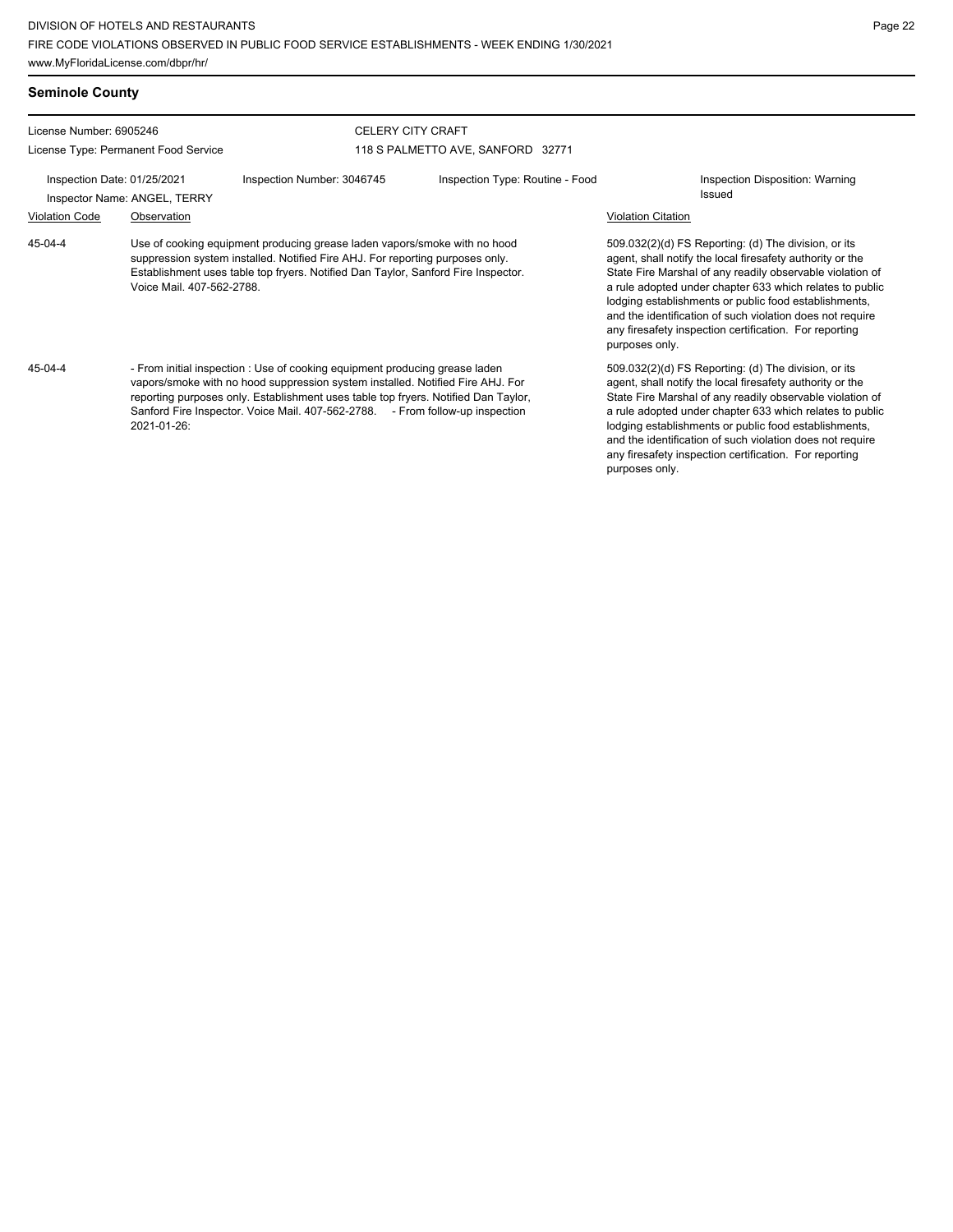any firesafety inspection certification. For reporting

purposes only.

| <b>Seminole County</b>                                      |                                      |                                                                                                                                                                                                                                                                                                                                      |                                                                                                                                                                                                                                                 |                           |                                                                                                                                                                                                                                                                                                                                                                                                                            |
|-------------------------------------------------------------|--------------------------------------|--------------------------------------------------------------------------------------------------------------------------------------------------------------------------------------------------------------------------------------------------------------------------------------------------------------------------------------|-------------------------------------------------------------------------------------------------------------------------------------------------------------------------------------------------------------------------------------------------|---------------------------|----------------------------------------------------------------------------------------------------------------------------------------------------------------------------------------------------------------------------------------------------------------------------------------------------------------------------------------------------------------------------------------------------------------------------|
| License Number: 6905246                                     |                                      |                                                                                                                                                                                                                                                                                                                                      | <b>CELERY CITY CRAFT</b>                                                                                                                                                                                                                        |                           |                                                                                                                                                                                                                                                                                                                                                                                                                            |
|                                                             | License Type: Permanent Food Service |                                                                                                                                                                                                                                                                                                                                      | 118 S PALMETTO AVE, SANFORD 32771                                                                                                                                                                                                               |                           |                                                                                                                                                                                                                                                                                                                                                                                                                            |
| Inspection Date: 01/25/2021<br>Inspector Name: ANGEL, TERRY |                                      | Inspection Number: 3046745                                                                                                                                                                                                                                                                                                           | Inspection Type: Routine - Food                                                                                                                                                                                                                 |                           | Inspection Disposition: Warning<br>Issued                                                                                                                                                                                                                                                                                                                                                                                  |
| <b>Violation Code</b>                                       | Observation                          |                                                                                                                                                                                                                                                                                                                                      |                                                                                                                                                                                                                                                 | <b>Violation Citation</b> |                                                                                                                                                                                                                                                                                                                                                                                                                            |
| $45 - 04 - 4$                                               | Voice Mail. 407-562-2788.            |                                                                                                                                                                                                                                                                                                                                      | Use of cooking equipment producing grease laden vapors/smoke with no hood<br>suppression system installed. Notified Fire AHJ. For reporting purposes only.<br>Establishment uses table top fryers. Notified Dan Taylor, Sanford Fire Inspector. |                           | 509.032(2)(d) FS Reporting: (d) The division, or its<br>agent, shall notify the local firesafety authority or the<br>State Fire Marshal of any readily observable violation of<br>a rule adopted under chapter 633 which relates to public<br>lodging establishments or public food establishments,<br>and the identification of such violation does not require<br>any firesafety inspection certification. For reporting |
| 45-04-4                                                     | 2021-01-26:                          | - From initial inspection : Use of cooking equipment producing grease laden<br>vapors/smoke with no hood suppression system installed. Notified Fire AHJ. For<br>reporting purposes only. Establishment uses table top fryers. Notified Dan Taylor,<br>Sanford Fire Inspector. Voice Mail. 407-562-2788. - From follow-up inspection |                                                                                                                                                                                                                                                 |                           | 509.032(2)(d) FS Reporting: (d) The division, or its<br>agent, shall notify the local firesafety authority or the<br>State Fire Marshal of any readily observable violation of<br>a rule adopted under chapter 633 which relates to public<br>lodging establishments or public food establishments,<br>and the identification of such violation does not require                                                           |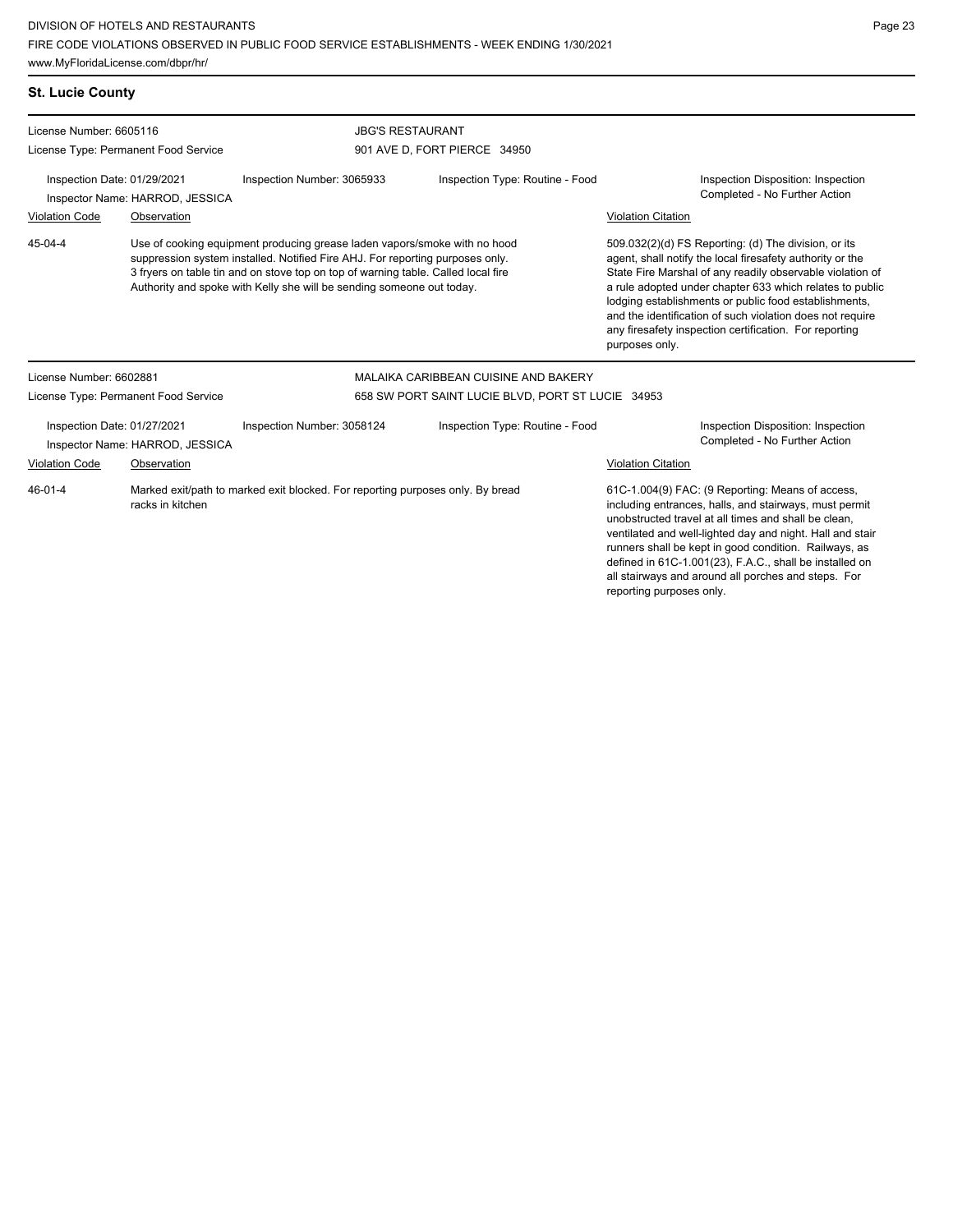Authority and spoke with Kelly she will be sending someone out today.

**St. Lucie County**

45-04-4

License Number: 6605116

License Type: Permanent Food Service

Violation Code **Observation** 

| E CODE VIOLATIONS OBSERVED IN PUBLIC FOOD SERVICE ESTABLISHMENTS - WEEK ENDING 1/30/2021<br>w.MyFloridaLicense.com/dbpr/hr/ |                                                                                                                                                                                                                                                 |                              |                                 |                                                                                                                                                                                |                                                                     |  |  |  |  |
|-----------------------------------------------------------------------------------------------------------------------------|-------------------------------------------------------------------------------------------------------------------------------------------------------------------------------------------------------------------------------------------------|------------------------------|---------------------------------|--------------------------------------------------------------------------------------------------------------------------------------------------------------------------------|---------------------------------------------------------------------|--|--|--|--|
| <b>Lucie County</b>                                                                                                         |                                                                                                                                                                                                                                                 |                              |                                 |                                                                                                                                                                                |                                                                     |  |  |  |  |
| ense Number: 6605116                                                                                                        |                                                                                                                                                                                                                                                 | <b>JBG'S RESTAURANT</b>      |                                 |                                                                                                                                                                                |                                                                     |  |  |  |  |
| ense Type: Permanent Food Service                                                                                           |                                                                                                                                                                                                                                                 | 901 AVE D. FORT PIERCE 34950 |                                 |                                                                                                                                                                                |                                                                     |  |  |  |  |
| Inspection Date: 01/29/2021<br>Inspector Name: HARROD, JESSICA                                                              |                                                                                                                                                                                                                                                 | Inspection Number: 3065933   | Inspection Type: Routine - Food |                                                                                                                                                                                | Inspection Disposition: Inspection<br>Completed - No Further Action |  |  |  |  |
| lation Code                                                                                                                 | Observation                                                                                                                                                                                                                                     |                              |                                 | <b>Violation Citation</b>                                                                                                                                                      |                                                                     |  |  |  |  |
| 04-4                                                                                                                        | Use of cooking equipment producing grease laden vapors/smoke with no hood<br>suppression system installed. Notified Fire AHJ. For reporting purposes only.<br>3 fryers on table tin and on stove top on top of warning table. Called local fire |                              |                                 | 509.032(2)(d) FS Reporting: (d) The division, or its<br>agent, shall notify the local firesafety authority or the<br>State Fire Marshal of any readily observable violation of |                                                                     |  |  |  |  |

any firesafety inspection certification. For reporting purposes only. License Number: 6602881 License Type: Permanent Food Service MALAIKA CARIBBEAN CUISINE AND BAKERY 658 SW PORT SAINT LUCIE BLVD, PORT ST LUCIE 34953 Inspection Date: 01/27/2021 Inspection Number: 3058124 Inspection Type: Routine - Food Inspection Disposition: Inspection Inspector Name: HARROD, JESSICA **Inspector Name: HARROD, JESSICA** Violation Code Observation Violation Citation

Marked exit/path to marked exit blocked. For reporting purposes only. By bread racks in kitchen 46-01-4

61C-1.004(9) FAC: (9 Reporting: Means of access, including entrances, halls, and stairways, must permit unobstructed travel at all times and shall be clean, ventilated and well-lighted day and night. Hall and stair runners shall be kept in good condition. Railways, as defined in 61C-1.001(23), F.A.C., shall be installed on all stairways and around all porches and steps. For reporting purposes only.

a rule adopted under chapter 633 which relates to public lodging establishments or public food establishments, and the identification of such violation does not require